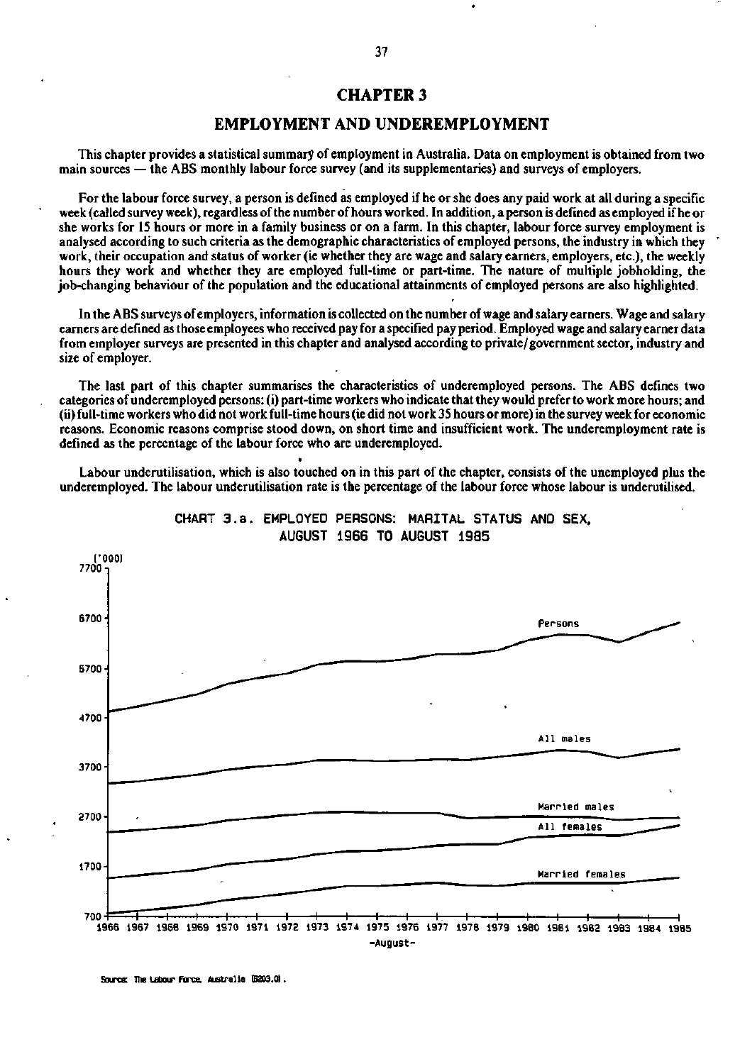## **CHAPTER 3**

## **EMPLOYMENT AND UNDEREMPLOYMENT**

This chapter provides a statistical summary of employment in Australia. Data on employment is obtained from two main sources — the ABS monthly labour force survey (and its supplementaries) and surveys of employers.

For the labour force survey, a person is defined as employed if he or she does any paid work at all during a specific week (called survey week), regardless of the number of hours worked. In addition, a person is defined as employed if he or she works for 15 hours or more in a family business or on a farm. In this chapter, labour force survey employment is analysed according to such criteria as the demographic characteristics of employed persons, the industry in which they work, their occupation and status of worker (ie whether they are wage and salary earners, employers, etc.), the weekly hours they work and whether they are employed full-time or part-time. The nature of multiple jobholding, the job-changing behaviour of the population and the educational attainments of employed persons are also highlighted.

In the ABS surveys of employers, information is collected on the number of wage and salary earners. Wage and salary earners are defined as those employees who received pay for a specified pay period. Employed wage and salary earner data from employer surveys are presented in this chapter and analysed according to private/government sector, industry and size of employer.

The last part of this chapter summarises the characteristics of underemployed persons. The ABS defines two categories of underemployed persons: (i) part-time workers who indicate that they would prefer to work more hours; and (ii) full-time workers who did not work full-time hours (ie did not work 35 hours or more) in the survey week for economic reasons. Economic reasons comprise stood down, on short time and insufficient work. The underemployment rate is defined as the percentage of the labour force who are underemployed.

Labour underutilisation, which is also touched on in this part of the chapter, consists of the unemployed plus the underemployed. The labour underutilisation rate is the percentage of the labour force whose labour is underutilised.

**•** 



**CHART 3.a. EMPLOYED PERSONS: MARITAL STATUS AND SEX. AUGUST 1966 TO AUGUST 1985** 

**Source: The Labour Force. Australia (6203.0).**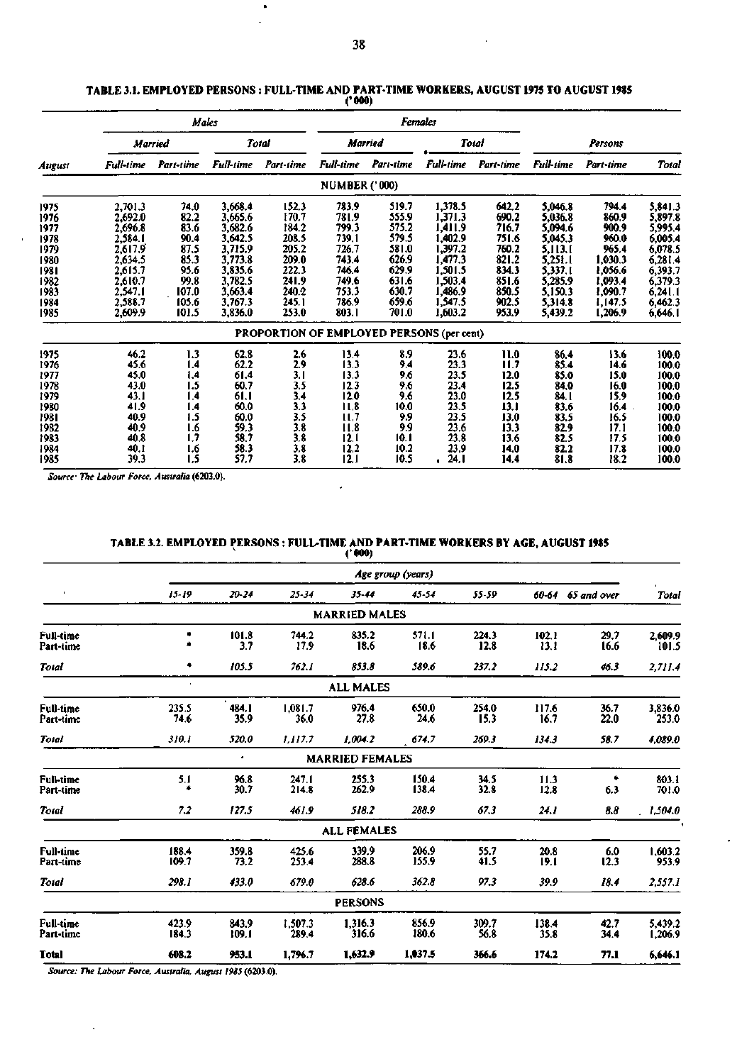## **TABLE 3.1. EMPLOYED PERSONS : FULL-TIME AND PART-TIME WORKERS, AUGUST 1975 TO AUGUST 1985**

|        |                  |                |           |                                           | aan                  |           |                  |           |           |           |                    |
|--------|------------------|----------------|-----------|-------------------------------------------|----------------------|-----------|------------------|-----------|-----------|-----------|--------------------|
|        |                  |                | Males     |                                           |                      |           | <b>Females</b>   |           |           |           |                    |
|        |                  | <b>Married</b> | Total     |                                           |                      | Married   |                  | Total     | Persons   |           |                    |
| August | <b>Full-time</b> | Part-time      | Full-time | Part-time                                 | Full-time            | Part-time | <b>Full-time</b> | Part-time | Full-time | Part-time | <b>Total</b>       |
|        |                  |                |           |                                           | <b>NUMBER ('000)</b> |           |                  |           |           |           |                    |
| 1975   | 2,701.3          | 74.0           | 3,668.4   | 152.3                                     | 783.9                | 519.7     | 1,378.5          | 642.2     | 5,046.8   | 794.4     | 5,841.3            |
| 1976   | 2,692.0          | 82.2           | 3,665.6   | 170.7                                     | 781.9                | 555.9     | 1,371.3          | 690.2     | 5,036.8   | 860.9     | 5,897.8            |
| 1977   | 2,696.8          | 83.6           | 3,682.6   | 184.2                                     | 799.3                | 575.2     | 1,411.9          | 716.7     | 5,094.6   | 900.9     | 5,995.4            |
| 1978   | 2,584.1          | 90.4           | 3,642.5   | 208.5                                     | 739.1                | 579.5     | 1,402.9          | 751.6     | 5,045.3   | 960.0     | 6,005.4            |
| 1979   | 2,617.9          | 87.5           | 3,715.9   | 205.2                                     | 726.7                | 581.0     | 1,397.2          | 760.2     | 5,113.1   | 965.4     | 6,078.5            |
| 1980   | 2,634.5          | 85.3           | 3,773.8   | 209.0                                     | 743.4                | 626.9     | 1.477.3          | 821.2     | 5,251.1   | 1,030.3   | 6,281.4<br>6,393.7 |
| 1981   | 2,615.7          | 95.6           | 3,835.6   | 222.3                                     | 746.4                | 629.9     | 1,501.5          | 834.3     | 5,337.1   | 1,056.6   |                    |
| 1982   | 2.610.7          | 99.8           | 3,782.5   | 241.9                                     | 749.6                | 631.6     | 1,503.4          | 851.6     | 5,285.9   | 1,093.4   | 6,379.3            |
| 1983   | 2,547.1          | 107.0          | 3,663.4   | 240.2                                     | 753.3                | 630.7     | 1,486.9          | 850.5     | 5,150.3   | 1,090.7   | 6,241.1            |
| 1984   | 2,588.7          | 105.6          | 3,767.3   | 245.1                                     | 786.9                | 659.6     | 1,547.5          | 902.5     | 5,314.8   | 1,147.5   | 6,462.3            |
| 1985   | 2,609.9          | 101.5          | 3,836.0   | 253.0                                     | 803.1                | 701.0     | 1,603.2          | 953.9     | 5,439.2   | 1,206.9   | 6,646.1            |
|        |                  |                |           | PROPORTION OF EMPLOYED PERSONS (per cent) |                      |           |                  |           |           |           |                    |
| 1975   | 46.2             | 1.3            | 62.8      | 2.6                                       | 13.4                 | 8.9       | 23.6             | 11.0      | 86.4      | 13.6      | 100.0              |
| 1976   | 45.6             | 4. ا           | 62.2      | 2.9                                       | 13.3                 | 9.4       | 23.3             | 11.7      | 85.4      | 14.6      | 100.0              |
| 1977   | 45.0             | 1.4            | 61.4      | 3.1                                       | 13.3                 | 9.6       | 23.5             | 12.0      | 85.0      | 15.0      | 100.0              |
| 1978   | 43.0             | 1.5            | 60.7      | 3.5                                       | 12.3                 | 9.6       | 23.4             | 12.5      | 84.0      | 16.0      | 100.0              |
| 1979   | 43.1             | 1.4            | 61.1      | 3.4                                       | 12.0                 | 9.6       | 23.0             | 12.5      | 84. I     | 15.9      | 100.0              |
| 1980   | 41.9             | 1.4            | 60.0      | 3.3                                       | 11.8                 | 10.0      | 23.5             | 13.1      | 83.6      | 16.4      | 100.0              |
| 1981   | 40.9             | 1.5            | 60.0      | 3.5                                       | 11,7                 | 9.9       | 23.5             | 13.0      | 83.5      | 16.5      | 100.0              |
| 1982   | 40.9             | 1.6            | 59.3      | 3.8                                       | 11.8                 | 9.9       | 23.6             | 13.3      | 82.9      | 17.1      | 100.0              |
| 1983   | 40.8             | 1.7            | 58.7      | 3.8                                       | 12.1                 | 10.1      | 23.8             | 13.6      | 82.5      | 17.5      | 100.0              |
| 1984   | 40.1             | I.6            | 58.3      | 3.8                                       | 12.2                 | 10.2      | 23.9             | 14.0      | 82.2      | 17.8      | 100.0              |
| 1985   | 39.3             | 1.5            | 57.7      | 3.8                                       | 12.1                 | 10.5      | 24.1             | 14,4      | 81.8      | 18.2      | 100.0              |

*Source^ The Labour Force, Australia* **(6203.0).** 

# **TABLE 3.2. EMPLOYED PERSONS : FULL-TIME AND PART-TIME WORKERS BY AGE, AUGUST 1985**  v (' **000)**

l,

|                               |                |                |                  | .                      |                   |               |               |                   |                    |
|-------------------------------|----------------|----------------|------------------|------------------------|-------------------|---------------|---------------|-------------------|--------------------|
|                               |                |                |                  |                        | Age group (years) |               |               |                   |                    |
|                               | $15 - 19$      | $20 - 24$      | 25-34            | $35 - 44$              | 45-54             | 55-59         |               | 60-64 65 and over | Total              |
|                               |                |                |                  | <b>MARRIED MALES</b>   |                   |               |               |                   |                    |
| <b>Full-time</b><br>Part-time |                | 101.8<br>3.7   | 744.2<br>17.9    | 835.2<br>18.6          | 571.1<br>18.6     | 224.3<br>12.8 | 102.1<br>13.1 | 29.7<br>16.6      | 2,609.9<br>101.5   |
| Total                         | ٠              | 105.5          | 762.1            | 853.8                  | 589.6             | 237.2         | 115.2         | 46.3              | 2,711.4            |
|                               |                |                |                  | <b>ALL MALES</b>       |                   |               |               |                   |                    |
| <b>Full-time</b><br>Part-time | 235.5<br>74.6  | 484.1<br>35.9  | 1,081.7<br>36.0  | 976.4<br>27.8          | 650.0<br>24.6     | 254.0<br>15.3 | 117.6<br>16.7 | 36.7<br>22.0      | 3,836.0<br>253.0   |
| Total                         | 310.1          | 520.0          | 1,117.7          | 1,004.2                | 674.7             | 269.3         | 134.3         | 58.7              | 4.089.0            |
|                               |                | ٠              |                  | <b>MARRIED FEMALES</b> |                   |               |               |                   |                    |
| <b>Full-time</b><br>Part-time | 5.1<br>٠       | 96.8<br>30.7   | 247.1<br>214.8   | 255.3<br>262.9         | 150.4<br>138.4    | 34.5<br>32.8  | 11.3<br>12.8  | 6.3               | 803.1<br>701.0     |
| Total                         | 7.2            | 127.5          | 461.9            | 518.2                  | 288.9             | 67.3          | 24.1          | 8.8               | 1,504.0            |
|                               |                |                |                  | <b>ALL FEMALES</b>     |                   |               |               |                   |                    |
| <b>Full-time</b><br>Part-time | 188.4<br>109.7 | 359.8<br>73.2  | 425.6<br>253.4   | 339.9<br>288.8         | 206.9<br>155.9    | 55.7<br>41.5  | 20.8<br>19.1  | 6.0<br>12.3       | 1,603.2<br>953.9   |
| Total                         | 298.1          | 433.0          | 679.0            | 628.6                  | 362.8             | 97.3          | 39.9          | 18.4              | 2,557.1            |
|                               |                |                |                  | <b>PERSONS</b>         |                   |               |               |                   |                    |
| <b>Full-time</b><br>Part-time | 423.9<br>184.3 | 843.9<br>109.1 | 1,507.3<br>289.4 | 1,316.3<br>316.6       | 856.9<br>180.6    | 309.7<br>56.8 | 138.4<br>35.8 | 42.7<br>34.4      | 5,439.2<br>1,206.9 |
| Total                         | 608.2          | 953.1          | 1,796.7          | 1,632.9                | 1,037.5           | 366.6         | 174.2         | 77.1              | 6.646.1            |

 $\ddot{\phantom{a}}$ 

*Source: The Labour Force, Australia, August 1985* **(6203.0).**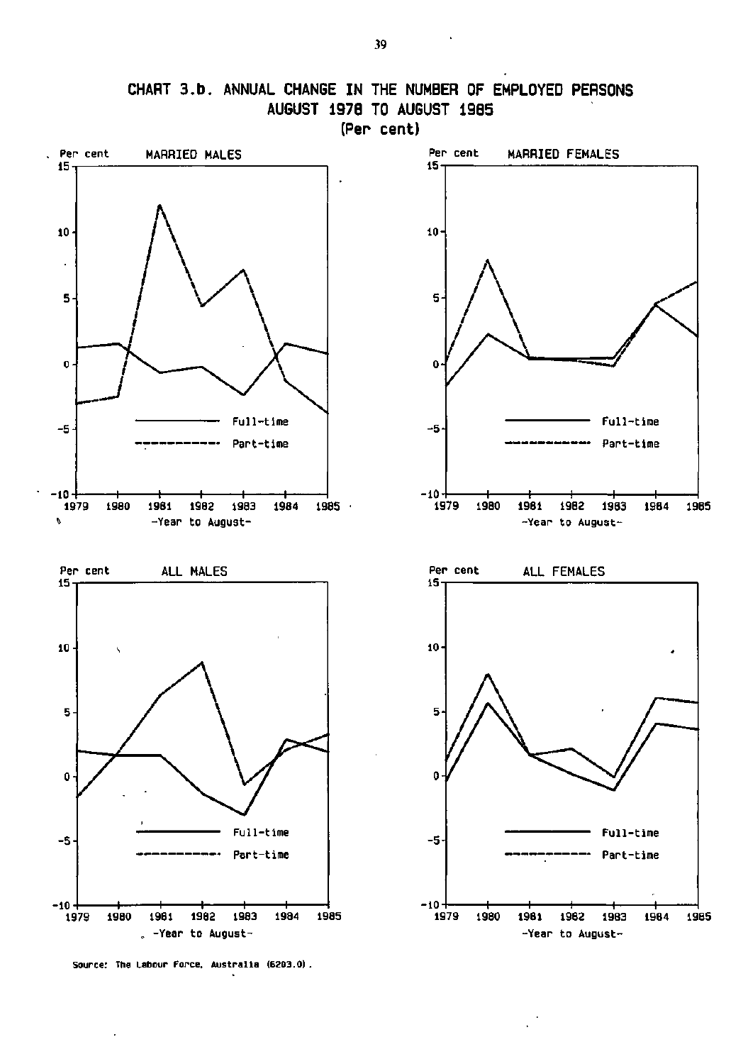

**Source: The Labour Force. Australia (6203.0) .** 

 $\cdot$ 

 $\sim 10^{11}$  km  $^{-1}$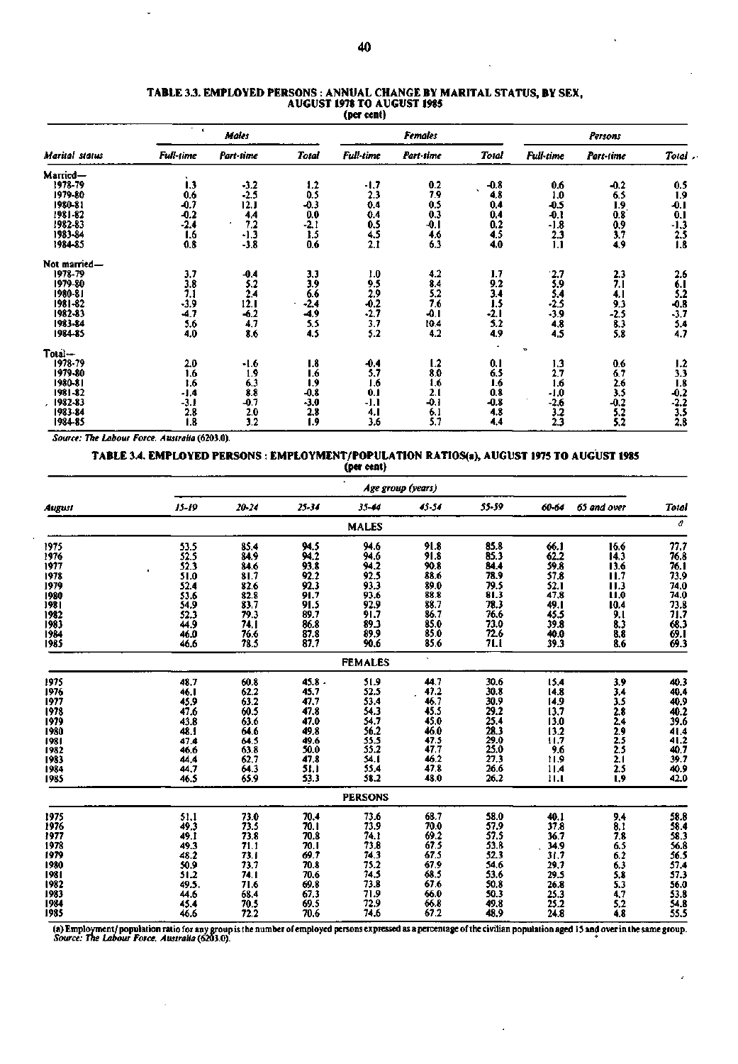#### **TABLE 3J. EMPLOYED PERSONS : ANNUAL CHANGE BY MARITAL STATUS, BY SEX, AUGUST 1978 TO AUGUST 1985 (per cent)**

|                                          | $\mathbf{I}$     | Males             |              |                                        | <b>Females</b> |        | Persons           |                   |              |  |
|------------------------------------------|------------------|-------------------|--------------|----------------------------------------|----------------|--------|-------------------|-------------------|--------------|--|
| <b>Marital status</b>                    | <b>Full-time</b> | Part-time         | <b>Total</b> | <b>Full-time</b>                       | Part-time      | Total  | Full-time         | Part-time         | Total.       |  |
| Married-                                 |                  |                   |              |                                        |                |        |                   |                   |              |  |
| 1978-79                                  | 1.3              | $-3.2$            | 1.2          | -1,7                                   | 0.2            | $-0.8$ | 0.6               | $-0.2$            | 0.5          |  |
| 1979-80                                  | 0.6              | $-2.5$            | 0.5          | 2.3                                    | 7.9            | 4,8    | 1.0               | 6.5               | 1.9          |  |
|                                          | -0.7             | 12.1              | $-0.3$       | 0.4                                    | 0.5            | 0.4    | $-0.5$            | 1.9               | -0.1         |  |
|                                          | $-0.2$           | 4.4               | 0.0          | 0.4                                    | 0.3            | 0.4    | $-0.1$            | 0.8               | 0.1          |  |
|                                          | $-2.4$           | 7.2               | $-2.1$       | 0.5                                    | -0.1           | 0.2    | -1.8              | 0.9               | $-1.3$       |  |
| 1980-81<br>1981-82<br>1982-83<br>1983-84 | 1.6              | $-1.3$            | 1.5          | 4.5                                    | 4.6            | 4.5    | 2.3               | 3.7               | 2.5          |  |
| 1984-85                                  | 0.8              | $-3.8$            | 0.6          | 2.1                                    | 6.3            | 4.0    | 1.1               | 4,9               | 1.8          |  |
| Not married-                             |                  |                   |              |                                        |                |        |                   |                   |              |  |
| 1978-79                                  | 3.7              | $-0.4$            | 3,3          | 1.0                                    | 4.2            | 1.7    | 2.7               | 2.3               | 2.6          |  |
| 1979-80                                  |                  |                   | 3.9          |                                        | 8.4            | 9.2    |                   | 7.1               | 6.1          |  |
|                                          | 3.8<br>7.1       | $\frac{5.2}{2.4}$ | 6.6          |                                        | 5,2            | 3.4    | $\frac{5.9}{5.4}$ | 4. I              | 5.2          |  |
| 1980-81<br>1981-82                       | $-3.9$           | 12.1              | $-2.4$       |                                        | 7.6            | 1.5    | $-2.5$            | 9.3               | -0.8         |  |
| 1982-83<br>1983-84                       | -4.7             | $-6.2$            | -4.9         | $\frac{9.5}{2.9}$<br>$\frac{2.9}{2.7}$ | -0.1           | -2.1   | -3.9              | $-2.5$            | $-3.7$       |  |
|                                          | 5.6              | 4,7               | 5.5          | 3.7                                    | 10.4           | 5.2    | 4,8               |                   |              |  |
| 1984-85                                  | 4.0              | 8.6               | 4.5          | 5.2                                    | 4.2            | 4.9    | 4.5               | $\frac{8.3}{5.8}$ | $5.4$<br>4.7 |  |
| Total—                                   |                  |                   |              |                                        |                |        | Þ                 |                   |              |  |
| 1978-79                                  | 2.0              | $-1.6$            | 1.8          | $-0.4$                                 | 1.2            | 0,1    | 1.3               | 0.6               | 1.2          |  |
| 1979-80                                  | 1.6              | 1.9               | 1.6          | 5.7                                    | 8.0            | 6.5    | 2.7               |                   | 3.3          |  |
| 1980-81                                  | 1.6              | 6.3               | 1.9          | 1.6                                    | 1,6            | 1.6    | 1.6               | $\frac{6.7}{2.6}$ | 1.8          |  |
| 1981-82                                  | -1.4             | 8.8               | $-0.8$       | 0.1                                    | 2.1            | 0.8    | $-1.0$            |                   | $-0.2$       |  |
| 1982-83                                  | $-3.1$           | -0.7              | $-3.0$       | $-1.1$                                 | -0.1           | $-0.8$ | $-2.6$            | $-0.2$            | $-2.2$       |  |
| 1983-84                                  | 2.8              | 2.0               | 2.8          | 4. I                                   | 6.1            | 4.8    | 3.2               | 5.2               | 3.5          |  |
| 1984-85                                  | 1.8              | 3.2               | 1.9          | 3.6                                    | 5.7            | 4,4    | 2.3               | 5.2               | 2.8          |  |

*Source: The Labour Force, Australia* **(6203.0).** 

## **TABLE 3.4. EMPLOYED PERSONS : EMPLOYMENT/POPULATION RATIOS(a), AUGUST 1975 TO AUGUST 1985**

**(per cent)** 

|              | Age group (years)   |                                                |              |                                            |                  |                                                              |                     |                                        |                                              |  |  |  |
|--------------|---------------------|------------------------------------------------|--------------|--------------------------------------------|------------------|--------------------------------------------------------------|---------------------|----------------------------------------|----------------------------------------------|--|--|--|
| August       | $15 - 19$           | $20 - 24$                                      | $25 - 34$    | $33 - 44$                                  | 45-54            | 55-59                                                        | 60-64               | 65 and over                            | Total                                        |  |  |  |
|              |                     |                                                |              | <b>MALES</b>                               |                  |                                                              |                     |                                        | a                                            |  |  |  |
| 1975         | 53.5                | 85.4                                           | 94.5         | 94.6                                       | 91.8             | 85.8                                                         | 66.1                | 16.6                                   | 77.7                                         |  |  |  |
| 1976         | 52.5                | 84.9                                           | 94.2         | 94,6                                       | 91.8             | 85.3                                                         | 62.2                | 14.3                                   | 76.8                                         |  |  |  |
| 1977         | 52.3                |                                                | 93.8         | 94.2                                       | 90.8             | 84.4                                                         | 59.8                | 13.6                                   | 76. I                                        |  |  |  |
| 1978         | 51.0                | $84.6$<br>$81.7$<br>$82.6$<br>$82.8$<br>$79.3$ | 92.2         | $92.5$<br>93.3                             | 88.6             | 78.9                                                         | $57.8$<br>$52.1$    | $\frac{11.7}{11.3}$                    | 73.9<br>74.0                                 |  |  |  |
| 1979         | 52.4                |                                                | 92.3         |                                            | 89.0             | $79.5$<br>81.3                                               |                     |                                        |                                              |  |  |  |
| 1980         | 53.6                |                                                | 91.7<br>91.5 | $93.6$<br>$92.9$<br>$91.7$<br>$89.3$       | 88.8             |                                                              | 47,8                | 11.0                                   | 74.0                                         |  |  |  |
| 1981<br>1982 | 54.9                |                                                |              |                                            | 88.7<br>86.7     |                                                              | 49.1<br>45.5        | $\frac{10.4}{9.1}$                     |                                              |  |  |  |
|              | 52.3                | 74.1                                           | 89.7<br>86.8 |                                            | 85.0             | 78.3<br>76.6<br>73.0                                         | 39.8                |                                        | 73.8<br>71.7<br>68.3                         |  |  |  |
| 1983         | 44.9<br>46.0        |                                                |              | 89.9                                       | 85.0             | 72.6                                                         | 40.0                | $\frac{8.3}{8.8}$                      |                                              |  |  |  |
| 1984<br>1985 | 46.6                | $76.6$<br>$78.5$                               | 87.8<br>87.7 | 90.6                                       | 85.6             | 71.1                                                         | 39.3                | 8.6                                    | $\frac{69.1}{69.3}$                          |  |  |  |
|              |                     |                                                |              | <b>FEMALES</b>                             |                  |                                                              |                     |                                        |                                              |  |  |  |
| 1975         | 48.7                | 60.8                                           | 45.8.        | 51.9                                       | 44.7             | 30.6                                                         | 15.4                | 3.9                                    | 40.3                                         |  |  |  |
| 1976         | 46. I               | $62.2$<br>$63.2$                               | 45.7         | 52.5                                       | 47.2             | 30.8                                                         | 14.8                | 3.4                                    | 40,4                                         |  |  |  |
| 1977         | 45.9                |                                                | 47.7         | 53.4                                       | 46.7             |                                                              | 14.9                | 3.5                                    | 40.9                                         |  |  |  |
| 1978         | 47.6                | $\frac{60.5}{63.6}$                            | 47.8         | 54.3<br>54.7<br>56.2<br>55.5<br>55.2       | 45.5             | 30.9<br>29.2<br>25.4<br>28.3<br>29.0<br>25.0<br>25.0<br>26.6 | 13.7                |                                        | 40.2<br>39.6                                 |  |  |  |
| 1979         | 43.8                |                                                | 47.0         |                                            | 45.0             |                                                              | 13.0                | 2.8<br>2.4<br>2.5<br>2.5<br>2.5<br>2.1 |                                              |  |  |  |
| 1980         | 48.1                | 64.6                                           | 49.8         |                                            | 46.0             |                                                              | 13.2                |                                        |                                              |  |  |  |
| 1981         | 47.4                | $64.5$<br>$63.8$<br>$62.7$                     | 49.6         |                                            | 47.5             |                                                              | 11.7                |                                        |                                              |  |  |  |
| 1982         | 46.6                |                                                | 50.0         |                                            | 47.7             |                                                              | 9.6                 |                                        |                                              |  |  |  |
| 1983         | 44.4                |                                                | 47.8         | 54.1                                       | 46.2             |                                                              | 11.9                |                                        |                                              |  |  |  |
| 1984         | 44.7                | 64.3                                           | 51.1         | 55.4<br>58.2                               | 47.8             |                                                              | 11.4                | $\frac{2.5}{1.9}$                      | 41.4<br>41.2<br>40.7<br>40.9                 |  |  |  |
| 1985         | 46.5                | 65.9                                           | 53.3         |                                            | 48.0             | 26.2                                                         | tLI.                |                                        | 42.0                                         |  |  |  |
|              |                     |                                                |              | <b>PERSONS</b>                             |                  |                                                              |                     |                                        |                                              |  |  |  |
| 1975         | 51.1                | 73.0                                           | 70.4         | 73.6                                       | 68.7             | 58.0                                                         | 40.1                | 9.4                                    | 58.8<br>58.4<br>58.3<br>56.8<br>56.5<br>57.3 |  |  |  |
| 1976         | 49.3                | 73.5<br>73.8                                   | 70.1         | 73.9                                       | 70.0             | 57.9<br>57.5                                                 | 37.8                | 8.1 8 5.5<br>6.5 6.2 5.8 5.3<br>5.3    |                                              |  |  |  |
| 1977         | 49.1                |                                                | 70.8         | 74.1                                       | $69.2$<br>67.5   |                                                              | 36.7                |                                        |                                              |  |  |  |
| 1978         | 49.3                | $71.1$<br>$73.1$                               | 70.I         |                                            |                  | $53.8$<br>$52.3$                                             | 34.9<br>31.7        |                                        |                                              |  |  |  |
| 1979         | 48.2                |                                                | 69.7         |                                            | 67.5             |                                                              |                     |                                        |                                              |  |  |  |
| 1980         | $\frac{50.9}{51.2}$ | 73.7                                           | 70.8         |                                            | $67.9$<br>$68.5$ | 54.6                                                         | 29.7                |                                        |                                              |  |  |  |
| 1981         |                     | 74.1                                           | 70.6         |                                            |                  |                                                              | 29.5                |                                        |                                              |  |  |  |
| 1982         | 49.5.               | 71.6                                           | 69.8         | 73.8<br>74.3<br>75.74.5<br>71.71.7<br>72.9 | 67.6             | $53.6$<br>$50.8$<br>$50.3$                                   | 26.8                |                                        | 56.0                                         |  |  |  |
| 1983         | 44.6                | 68.4                                           | 67.3         |                                            | 66.0             |                                                              | $\frac{25.3}{25.2}$ |                                        |                                              |  |  |  |
| 1984         | 45.4                | $70.5$<br>$72.2$                               | 69.5         |                                            | 66.8             | 49.8                                                         |                     | $4.7$<br>$5.2$<br>$4.8$                | 53.8<br>54.8<br>55.5                         |  |  |  |
| 1985         | 46.6                |                                                | 70.6         | 74,6                                       | 67.2             | 48.9                                                         | 24.8                |                                        |                                              |  |  |  |

(a) Employment/population ratio for any group is the number of employed persons expressed as a percentage of the civilian population aged 15 and over in the same group.<br>Source: The Labour Force, Australia (6203.0).

z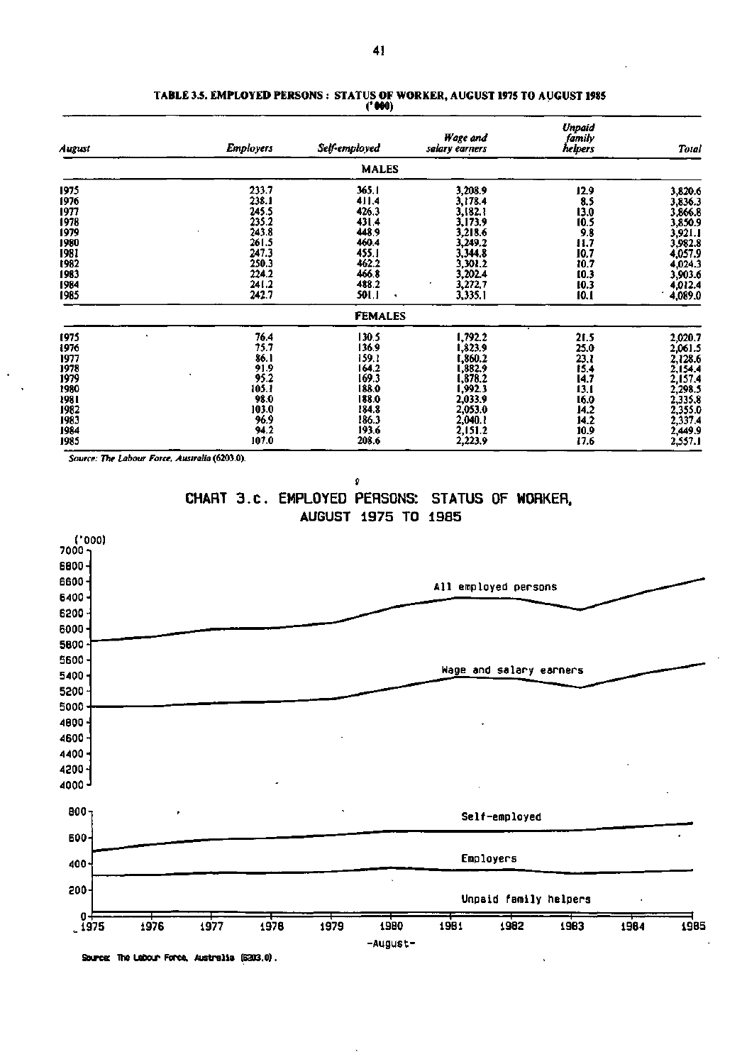| August | <b>Employers</b> | Self-employed  | Wage and<br>salary earners | Unpaid<br>family<br>helpers | <b>Total</b> |
|--------|------------------|----------------|----------------------------|-----------------------------|--------------|
|        |                  | <b>MALES</b>   |                            |                             |              |
| 1975   | 233.7            | 365.1          | 3,208.9                    | 12.9                        | 3,820.6      |
| 1976   | 238.1            | 411.4          | 3,178.4                    | 8.5                         | 3,836.3      |
| 1977   | 245.5            | 426.3          | 3,182.1                    | 13.0                        | 3,866.8      |
| 1978   | 235.2            | 431.4          | 3,173.9                    | 10.5                        | 3,850.9      |
| 1979   | 243.8            | 448.9          | 3.218.6                    | 9.8                         | 3,921.1      |
| 1980   | 261.5            | 460.4          | 3,249.2                    | 11.7                        | 3,982.8      |
| 1981   | 247.3            | 455.1          | 3,344.8                    | 10.7                        | 4,057.9      |
| 1982   | 250.3            | 462.2          | 3,301.2                    | 10.7                        | 4,024.3      |
| 1983   | 224.2            | 466.8          | 3,202.4                    | 10.3                        | 3,903.6      |
| 1984   | 241.2            | 488.2          | 3,272.7                    | 10.3                        | 4,012.4      |
| 1985   | 242.7            | 501.1<br>٠     | 3,335.1                    | 10.1                        | 4,089.0      |
|        |                  | <b>FEMALES</b> |                            |                             |              |
| 1975   | 76.4             | 130.5          | 1,792.2                    | 21.5                        | 2,020.7      |
| 1976   | 75.7             | 136.9          | 1,823.9                    | 25.0                        | 2,061.5      |
| 1977   | 86.1             | 159.1          | 1,860.2                    | 23.1                        | 2,128.6      |
| 1978   | 91.9             | 164.2          | 1,882.9                    | 15.4                        | 2,154.4      |
| 1979   | 95.2             | 169.3          | 1,878.2                    | 14.7                        | 2,157.4      |
| 1980   | 105.1            | 188.0          | 1,992.3                    | 13.1                        | 2,298.5      |
| 1981   | 98.0             | 188.0          | 2,033.9                    | 16.0                        | 2,335.8      |
| 1982   | 103.0            | 184.8          | 2,053.0                    | 14.2                        | 2,355.0      |
| 1983   | 96.9             | 186.3          | 2,040.1                    | 14.2                        | 2,337.4      |
| 1984   | 94.2             | 193.6          | 2,151.2                    | 10.9                        | 2,449.9      |
| 1985   | 107.0            | 208.6          | 2,223.9                    | 17.6                        | 2,557.1      |

### **TABLE 3.5. EMPLOYED PERSONS : STATUS OF WORKER, AUGUST 1975 TO AUGUST 1985 ('000)**

*Source: The Labour Force. Australia* **(6203.0).** 

 $\pmb{\mathfrak{g}}$ **CHART 3.c . EMPLOYED PERSONS: STATUS OF WORKER. AUGUST 1975 TO 1985** 



**Source: The Labour Force. Australia (6303.0).**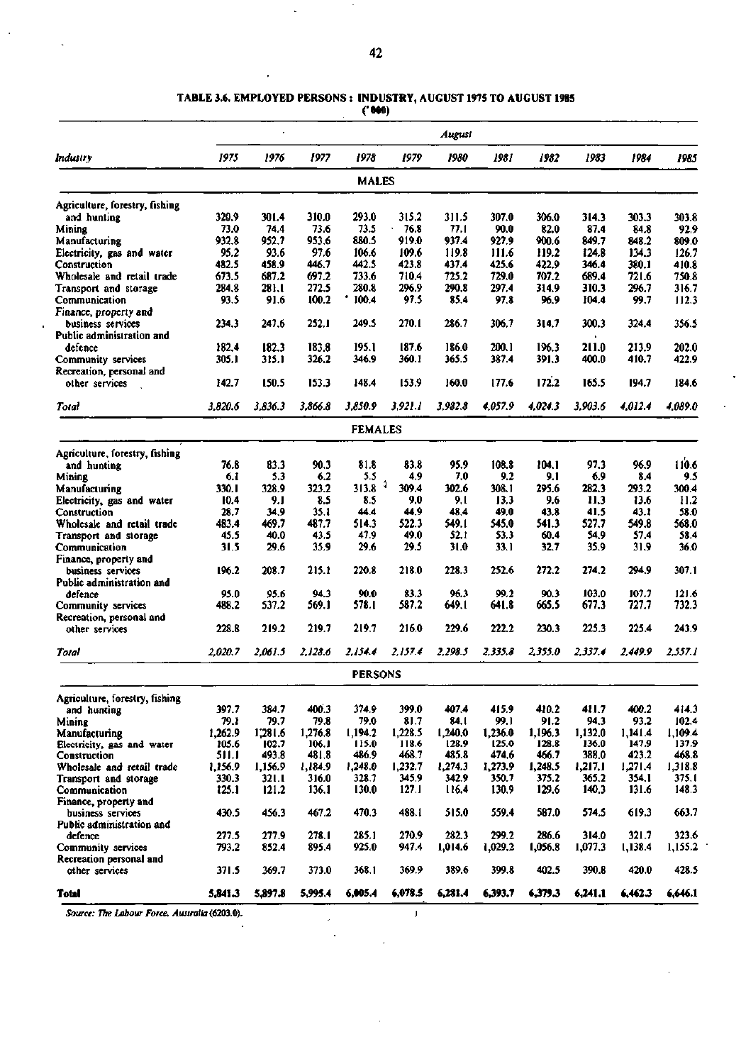## **TABLE 3.6. EMPLOYED PERSONS : INDUSTRY, AUGUST 1975 TO AUGUST 1985**

**('000)** 

 $\cdot$ 

 $\overline{a}$ 

 $\overline{\phantom{a}}$ 

|                                                |         |         |         |                |         | August  |         |         |         |         |         |
|------------------------------------------------|---------|---------|---------|----------------|---------|---------|---------|---------|---------|---------|---------|
| Industry                                       | 1975    | 1976    | 1977    | 1978           | 1979    | 1980    | 1981    | 1982    | 1983    | 1984    | 1985    |
|                                                |         |         |         | MALES          |         |         |         |         |         |         |         |
| Agriculture, forestry, fishing                 |         |         |         |                |         |         |         |         |         |         |         |
| and hunting                                    | 320.9   | 301.4   | 310.0   | 293.0          | 315.2   | 311.5   | 307.0   | 306.0   | 314.3   | 303.3   | 303.8   |
| Mining                                         | 73.0    | 74.4    | 73.6    | 73.S           | 76.8    | 77.1    | 90.0    | 82.0    | 87.4    | 84.8    | 92.9    |
| Manufacturing                                  | 932.8   | 952.7   | 953.6   | 880.5          | 919.0   | 937.4   | 927.9   | 900.6   | 849.7   | 848.2   | 809.0   |
| Electricity, gas and water                     | 95.2    | 93.6    | 97.6    | 106.6          | 109.6   | 119.8   | 111.6   | 119.2   | 124.8   | 134.3   | 126.7   |
| Construction                                   | 482.5   | 458.9   | 446.7   | 442.5          | 423.8   | 437.4   | 425.6   | 422.9   | 346.4   | 380.1   | 410.8   |
| Wholesale and retail trade                     | 673.5   | 687.2   | 697.2   | 733.6          | 710.4   | 725.2   | 729.0   | 707.2   | 689.4   | 721.6   | 750.8   |
| Transport and storage                          | 284.8   | 281.1   | 272.5   | 280.8          | 296.9   | 290.8   | 297.4   | 314.9   | 310.3   | 296.7   | 316.7   |
| Communication                                  | 93.5    | 91.6    | 100.2   | 100.4          | 97.5    | 85.4    | 97.8    | 96.9    | 104.4   | 99.7    | 112.3   |
| Finance, property and                          |         | 247.6   | 252.1   | 249.5          | 270.1   | 286.7   | 306.7   |         | 300.3   | 324.4   | 356.5   |
| business services<br>Public administration and | 234.3   |         |         |                |         |         |         | 314.7   |         |         |         |
| defence                                        | 182.4   | 182.3   | 183.8   | 195.1          | 187.6   | 186.0   | 200.1   | 196.3   | 211.0   | 213.9   | 202.0   |
| Community services                             | 305.1   | 315.1   | 326.2   | 346.9          | 360.1   | 365.5   | 387.4   | 391.3   | 400.0   | 410.7   | 422.9   |
| Recreation, personal and                       |         |         |         |                |         |         |         |         |         |         |         |
| other services                                 | 142.7   | 150.5   | 153.3   | 148.4          | 153.9   | 160.0   | 177.6   | 172.2   | 165.5   | 194.7   | 184.6   |
| Total                                          | 3,820.6 | 3.836.3 | 3,866.8 | 3.850.9        | 3,921.1 | 3.982.8 | 4.057.9 | 4.024.3 | 3.903.6 | 4.012.4 | 4.089.0 |
|                                                |         |         |         | <b>FEMALES</b> |         |         |         |         |         |         |         |
|                                                |         |         |         |                |         |         |         |         |         |         |         |
| Agriculture, forestry, fishing                 |         |         |         |                |         |         |         |         |         |         |         |
| and hunting                                    | 76.8    | 83.3    | 90.3    | 81.8           | 83.8    | 95.9    | 108.8   | 104.1   | 97.3    | 96.9    | 110.6   |
| Mining                                         | 6.1     | 5.3     | 6.2     | 5.5            | 4.9     | 7.0     | 9.2     | 9.1     | 6.9     | 8.4     | 9.5     |
| Manufacturing                                  | 330. I  | 328.9   | 323.2   | 313.8          | 309.4   | 302.6   | 308.1   | 295.6   | 282.3   | 293.2   | 300.4   |
| Electricity, gas and water                     | 10.4    | 9. I    | 8.5     | 8.5            | 9.0     | 9.1     | 13.3    | 9.6     | 11.3    | 13.6    | 11.2    |
| Construction                                   | 28.7    | 34.9    | 35.1    | 44.4           | 44.9    | 48.4    | 49.0    | 43.8    | 41.5    | 43.1    | 58.0    |
| Wholesale and retail trade                     | 483.4   | 469.7   | 487.7   | 514.3          | 522.3   | 549.1   | 545.0   | 541.3   | 527.7   | 549.8   | 568.0   |
| Transport and storage                          | 45.5    | 40.0    | 43.5    | 47.9           | 49.0    | 52.1    | 53.3    | 60.4    | 54.9    | 57.4    | 58.4    |
| Communication                                  | 31.5    | 29.6    | 35.9    | 29.6           | 29.5    | 31.0    | 33.1    | 32.7    | 35.9    | 31.9    | 36.0    |
| Finance, property and                          |         |         |         |                | 218.0   |         |         | 272.2   | 274.2   |         | 307.1   |
| business services<br>Public administration and | 196.2   | 208.7   | 215.1   | 220.8          |         | 228.3   | 252.6   |         |         | 294.9   |         |
| defence                                        | 95.0    | 95.6    | 94.3    | 90.0           | 83.3    | 96.3    | 99.2    | 90.3    | 103.0   | 107.7   | 121.6   |
| Community services                             | 488.2   | 537.2   | 569.1   | 578.1          | 587.2   | 649.I   | 641.8   | 665.5   | 677.3   | 727.7   | 732.3   |
| Recreation, personal and                       |         |         |         |                |         |         |         |         |         |         |         |
| other services                                 | 228.8   | 219.2   | 219.7   | 219.7          | 216.0   | 229.6   | 222.2   | 230.3   | 225.3   | 225.4   | 243.9   |
|                                                |         |         |         |                |         |         |         |         |         |         |         |
| Total                                          | 2,020.7 | 2,061.5 | 2.128.6 | 2.154.4        | 2,157.4 | 2,298.5 | 2.335.8 | 2,355.0 | 2,337.4 | 2,449.9 | 2.557.1 |
|                                                |         |         |         | <b>PERSONS</b> |         |         |         |         |         |         |         |
| Agriculture, forestry, fishing                 |         |         |         |                |         |         |         |         |         |         |         |
| and hunting                                    | 397.7   | 384.7   | 400.3   | 374.9          | 399.0   | 407.4   | 415.9   | 410.2   | 411.7   | 400.2   | 414.3   |
| Minine                                         | 79.1    | 79.7    | 79.8    | 79.0           | 81.7    | 84.I    | 99.1    | 91.2    | 94.3    | 93.2    | 102.4   |
| Manufacturing                                  | 1,262.9 | 1,281.6 | 1,276.8 | 1,194.2        | 1,228.5 | 1,240.0 | 1,236.0 | 1,196.3 | 1,132.0 | 1,141.4 | 1,109.4 |
| Electricity, gas and water                     | 105.6   | 102.7   | 106.1   | 115.0          | 118.6   | 128.9   | 125.0   | 128.8   | 136.0   | 147.9   | 137.9   |
| Construction                                   | 511.1   | 493.8   | 481.8   | 486.9          | 468.7   | 485.8   | 474.6   | 466.7   | 388.0   | 423.2   | 468.8   |
| Wholesale and retail trade                     | 1,156.9 | 1,156.9 | 1,184.9 | 1,248.0        | 1,232.7 | 1,274.3 | 1,273.9 | 1.248.5 | 1,217.1 | 1.271.4 | 1,318.8 |
| Transport and storage                          | 330.3   | 321.1   | 316.0   | 328.7          | 345.9   | 342.9   | 350.7   | 375.2   | 365.2   | 354.1   | 375.1   |
| Communication                                  | 125.1   | 121.2   | 136.1   | 130.0          | 127.1   | 116.4   | 130.9   | 129.6   | 140.3   | 131.6   | 148.3   |
| Finance, property and                          |         |         | 467.2   | 470.3          | 488.1   | 515.0   | 559.4   | 587.0   | 574.5   |         | 663.7   |
| business services                              | 430.5   | 456.3   |         |                |         |         |         |         |         | 619.3   |         |
| Public administration and<br>defence           | 277.5   | 277.9   | 278.1   | 285.1          | 270.9   | 282.3   | 299.2   | 286.6   | 314.0   | 321.7   | 323.6   |
| Community services                             | 793.2   | 852.4   | 895.4   | 925.0          | 947.4   | 1,014.6 | 1,029.2 | 1,056.8 | 1,077.3 | 1,138.4 | 1,155.2 |
| Recreation personal and                        |         |         |         |                |         |         |         |         |         |         |         |
| other services                                 | 371.5   | 369.7   | 373.0   | 368.1          | 369.9   | 389.6   | 399.8   | 402.5   | 390.8   | 420.0   | 428.5   |
| Total                                          | 5,841.3 | 5,897.8 | 5,995.4 | 6,005.4        | 6,078.5 | 6,281.4 | 6,393.7 | 6,379.3 | 6,241.1 | 6,462.3 | 6,646.1 |

*Source: The Labour Force. Australia* **(6203.0). J** 

J.

 $\mathcal{L}$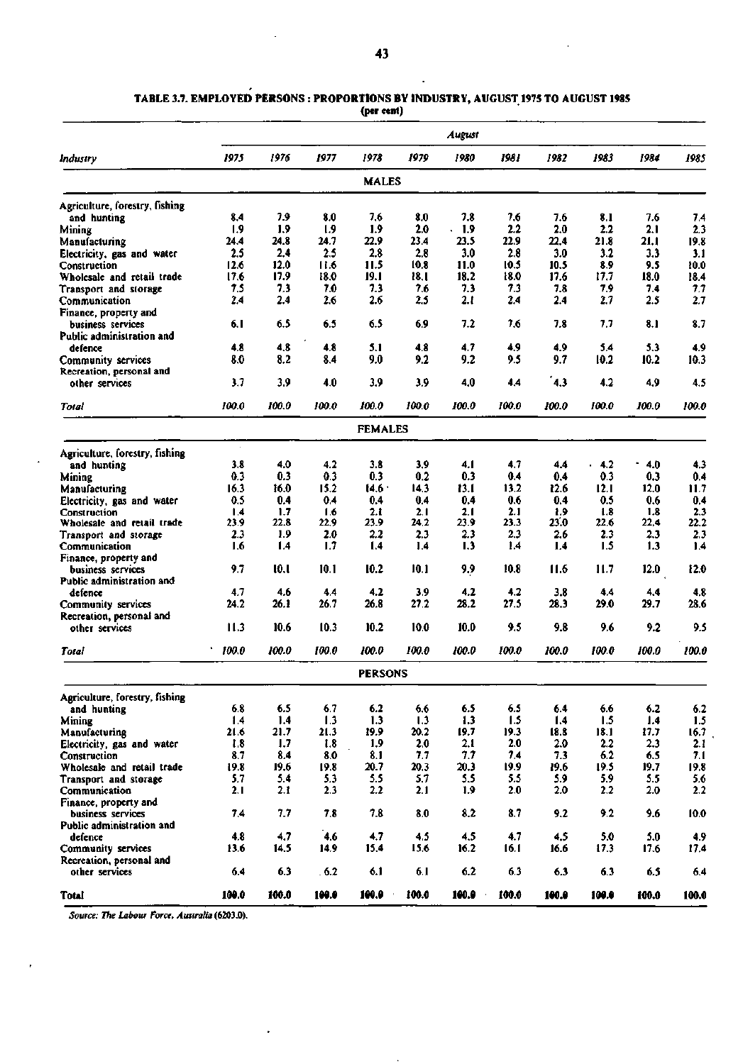|                                                       |       |       |             |                |       | August |       |             |          |          |             |
|-------------------------------------------------------|-------|-------|-------------|----------------|-------|--------|-------|-------------|----------|----------|-------------|
| Industry                                              | 1975  | 1976  | 1977        | 1978           | 1979  | 1980   | 1981  | 1982        | 1983     | 1984     | 1985        |
|                                                       |       |       |             | <b>MALES</b>   |       |        |       |             |          |          |             |
| Agriculture, forestry, fishing                        |       |       |             |                |       |        |       |             |          |          |             |
| and hunting                                           | 8.4   | 7.9   | 8.0         | 7,6            | 8.0   | 7.8    | 7.6   | 7.6         | 8.1      | 7.6      | 7.4         |
| Mining                                                | 1.9   | 1.9   | 1.9         | 1.9            | 2.0   | 1.9    | 2.2   | 2.0         | 2.2      | 2.1      | 2.3         |
| Manufacturing                                         | 24.4  | 24.8  | 24.7        | 22.9           | 23.4  | 23.5   | 22.9  | 22.4        | 21.8     | 21.1     | 19.8        |
| Electricity, gas and water                            | 2.5   | 2.4   | 2.5         | 2.8            | 2.8   | 3.0    | 2.8   | 3.0         | $^{3.2}$ | 3.3      | 3.1         |
| Construction                                          | 12.6  | 12.0  | 11.6        | 11.5           | 10.8  | 11.0   | 10.5  | 10.5        | 8.9      | 9.5      | 10.0        |
| Wholesale and retail trade                            | 17.6  | 17.9  | 18.0        | 19.1           | 18.I  | 18.2   | 18.0  | 17.6        | 17.7     | 18.0     | 18.4        |
| Transport and storage                                 | 7.5   | 7.3   | 7.0         | 7.3            | 7.6   | 7.3    | 7.3   | 7.8         | 7,9      | 74       | 7.7         |
| Communication<br>Finance, property and                | 2.4   | 2.4   | 2.6         | 2.6            | 2.5   | 2.1    | 2.4   | 2.4         | 2.7      | 2.5      | 2.7         |
| business services<br>Public administration and        | 6.1   | 6.5   | 6.5         | 6.5            | 6.9   | 7.2    | 7.6   | 7.8         | 7.7      | 8.1      | 8.7         |
| defence                                               | 4.8   | 4.8   | 4.8         | 5.1            | 4.8   | 4.7    | 4,9   | 4.9         | 5.4      | 5.3      | 4.9         |
| <b>Community services</b><br>Recreation, personal and | 8.0   | 8.2   | 8.4         | 9.0            | 9.2   | 9.2    | 9.5   | 9.7         | 10.2     | 10.2     | 10.3        |
| other services                                        | 3.7   | 3.9   | 4.0         | 3.9            | 3.9   | 4.0    | 4.4   | 4.3         | 4.2      | 4,9      | 4.5         |
| <b>Total</b>                                          | 100.0 | 100.0 | 100.0       | 100.0          | 100.0 | 100.0  | 100.0 | 100.0       | 100.0    | 100.0    | 100.0       |
|                                                       |       |       |             | <b>FEMALES</b> |       |        |       |             |          |          |             |
| Agriculture, forestry, fishing                        |       |       |             |                |       |        |       |             |          |          |             |
| and hunting                                           | 3.8   | 4.0   | 4.2         | 3.8            | 3.9   | 4.1    | 4.7   | 4.4         | 4.2      | ٠<br>4.0 | 4.3         |
| Mining                                                | 0.3   | 0.3   | 0.3         | 0.3            | 0.2   | 0.3    | 0.4   | 0.4         | 0.3      | 0.3      | 0.4         |
| <b>Manufacturing</b>                                  | 16.3  | 16.0  | 15.2        | 14.6           | 14.3  | 13.I   | 13.2  | 12.6        | 12.1     | 12.0     | 11.7        |
| Electricity, gas and water                            | 0.5   | 0.4   | 0.4         | 0.4            | 0.4   | 0.4    | 0.6   | 0.4         | 0.5      | 0.6      | 0.4         |
| Construction                                          | 1.4   | 1.7   | 1.6         | 2. t           | 2.1   | 2.1    | 2.1   | 1.9         | 1.8      | 1.8      | 2.3         |
| Wholesale and retail trade                            | 23.9  | 22.8  | 22.9        | 23.9           | 24.2  | 23.9   | 23.3  | 23.0        | 22.6     | 22,4     | 22.2        |
| Transport and storage                                 | 2.3   | 1.9   | 2.0         | 2.2            | 2.3   | 2.3    | 2,3   | 2.6         | 2.3      | 2.3      | 2.3         |
| Communication                                         | 1.6   | 1.4   | 1.7         | 1.4            | 1.4   | 1.3    | 1.4   | 1.4         | 1.5      | 1.3      | 1.4         |
| Finance, property and                                 |       |       |             |                |       |        |       |             |          |          |             |
| business services                                     | 9.7   | 10.1  | 10.1        | 10.2           | 10.1  | 9.9    | 10.8  | 11.6        | 11.7     | 12.0     | 12.0        |
| Public administration and                             | 4.7   | 4.6   |             | 4.2            | 3.9   | 4.2    | 4.2   |             | 4.4      | 4.4      |             |
| defence                                               | 24.2  | 26.1  | 4.4<br>26.7 | 26.8           | 27.2  | 28.2   | 27.5  | 3.8<br>28.3 | 29.0     | 29.7     | 4.8<br>28.6 |
| Community services                                    |       |       |             |                |       |        |       |             |          |          |             |
| Recreation, personal and<br>other services            | 11.3  | 10.6  | 10.3        | 10.2           | 10.0  | 10.0   | 9.5   | 9.8         | 9.6      | 9.2      | 9.5         |
| Total                                                 | 100.0 | 100.0 | 100.0       | 100.0          | 100.0 | 100.0  | 100.0 | 100.0       | 100.0    | 100.0    | 100.0       |
|                                                       |       |       |             | <b>PERSONS</b> |       |        |       |             |          |          |             |
| Agriculture, forestry, fishing                        |       |       |             |                |       |        |       |             |          |          |             |
| and hunting                                           | 6.8   | 6.5   | 6.7         | 6.2            | 6.6   | 6.5    | 6.5   | 6.4         | 6.6      | 6.2      | 6.2         |
| Mining                                                | 1.4   | 1.4   | 1.3         | 1.3            | 1.3   | 1.3    | 1.5   | 1.4         | 1.5      | 1.4      | 1.5         |
| Manufacturing                                         | 21.6  | 21.7  | 21.3        | 19.9           | 20.2  | 19.7   | 19.3  | 18.8        | 18.1     | 17.7     | 16.7        |
| Electricity, gas and water                            | 1.8   | 1.7   | 1.8         | 1,9            | 2.0   | 2.1    | 2.0   | 2.0         | 2.2      | 2.3      | 2.1         |
| Construction                                          | 8.7   | 8.4   | 8.0         | 8.1            | 7.7   | 7.7    | 7,4   | 7.3         | 6.2      | 6.5      | 7.1         |
| Wholesale and retail trade                            | 19.8  | 19.6  | 19.8        | 20.7           | 20.3  | 20.3   | 19.9  | 19.6        | 19.5     | 19.7     | 19.8        |
| Transport and storage                                 | 5.7   | 5.4   | 5.3         | 5.5            | 5,7   | 5.5    | 5.5   | 5.9         | 5.9      | 5.5      | 5.6         |
| Communication<br>Finance, property and                | 2.1   | 2.1   | 2.3         | 2.2            | 2.1   | 1.9    | 2.0   | 2.0         | 2.2      | 2.0      | 2.2         |
| business services<br>Public administration and        | 7,4   | 7.7   | 7.8         | 7.8            | 8.0   | 8.2    | 8.7   | 9.2         | 9.2      | 9.6      | 10.0        |
| defence                                               | 4.8   | 4.7   | 4.6         | 4.7            | 4.5   | 4.5    | 4.7   | 4,5         | 5.0      | 5.0      | 4.9         |
| Community services<br>Recreation, personal and        | 13.6  | 14.5  | 14.9        | 15.4           | 15.6  | 16.2   | 16.1  | 16.6        | 17.3     | 17.6     | 17.4        |
| other services                                        | 6.4   | 6.3   | .6.2        | 6.1            | 6.1   | 6.2    | 6.3   | 6.3         | 6.3      | 6.5      | 6.4         |
| Total                                                 | 100.0 | 100.0 | 100.0       | 100.0          | 100.0 | 100.0  | 100.0 | 100.0       | 100.0    | 100.0    | 100.0       |

#### **TABLE 3.7. EMPLOYED PERSONS : PROPORTIONS BY INDUSTRY, AUGUST 1975 TO AUGUST 1985 (per cent)**

l.

*Source: The Labour Force, Australia* **(6203.0).**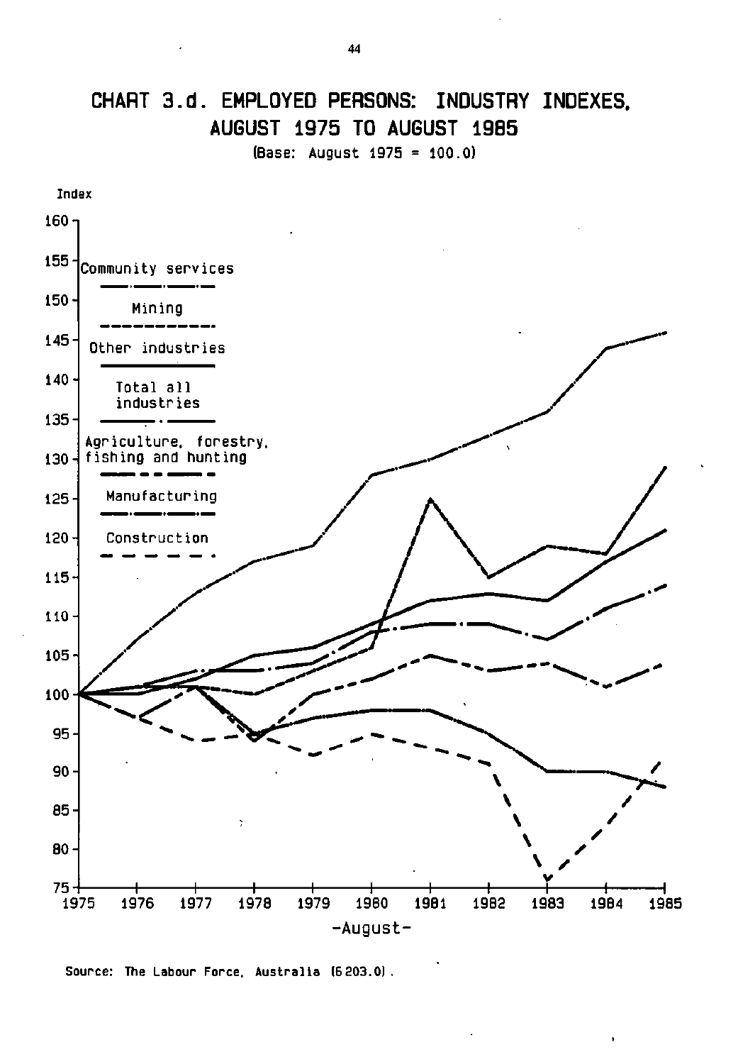# **CHART 3.d. EMPLOYED PERSONS: INDUSTRY INDEXES, AUGUST 1975 TO AUGUST 1985**

**(Base: August 1975 = 100.0)** 

![](_page_7_Figure_2.jpeg)

Source: The Labour Force. Australia (6203.0).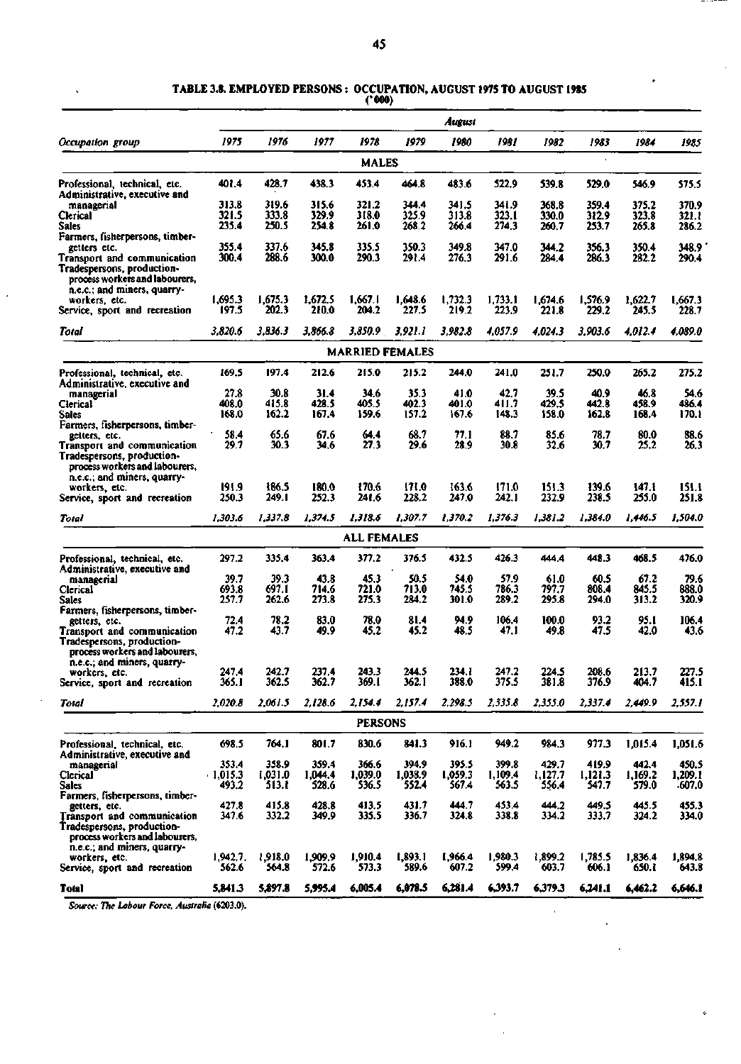## **TABLE 3.8. EMPLOYED PERSONS : OCCUPATION, AUGUST 1975 TO AUGUST 1985**

| (' 000) |
|---------|
|---------|

|                                                                                                                            |                   |                  |                  |                        |                  | August           |                  |                  |                  |                  |                  |
|----------------------------------------------------------------------------------------------------------------------------|-------------------|------------------|------------------|------------------------|------------------|------------------|------------------|------------------|------------------|------------------|------------------|
| Occupation group                                                                                                           | 1975              | 1976             | 1977             | 1978                   | 1979             | 1980             | 1981             | 1982             | 1983             | 1984             | 1985             |
|                                                                                                                            |                   |                  |                  | MALES                  |                  |                  |                  |                  |                  |                  |                  |
| Professional, technical, etc.<br>Administrative, executive and                                                             | 401.4             | 428.7            | 438.3            | 453.4                  | 464.8            | 483.6            | 522.9            | 539.8            | 529.0            | 546.9            | 575.5            |
| managerial                                                                                                                 | 313.8             | 319.6            | 315.6            | 321.2                  | 344.4            | 341.5            | 341.9            | 368.8            | 359.4            | 375.2            | 370.9            |
| Clerical                                                                                                                   | 321.5             | 333.8            | 329.9            | 318.0                  | 325.9            | 313.8            | 323.I            | 330.0            | 312.9            | 323.8            | 321.1            |
| <b>Sales</b>                                                                                                               | 235.4             | 250.5            | 254.8            | 261.0                  | 268.2            | 266.4            | 274,3            | 260.7            | 253.7            | 265.8            | 286.2            |
| Farmers, fisherpersons, timber-                                                                                            |                   |                  |                  |                        |                  |                  |                  |                  |                  |                  |                  |
| getters etc.                                                                                                               | 355.4<br>300.4    | 337.6<br>288.6   | 345.8            | 335.5<br>290.3         | 350.3            | 349.8            | 347.0            | 344.2            | 356.3            | 350.4            | 348.9            |
| Transport and communication<br>Tradespersons, production-<br>process workers and labourers,<br>n.e.c.; and miners, quarry- |                   |                  | 300.0            |                        | 291.4            | 276.3            | 291.6            | 284.4            | 286.3            | 282.2            | 290.4            |
| workers, etc.                                                                                                              | 1,695.3           | 1,675.3          | 1,672.5          | 1,667.1                | 1,648.6          | 1,732.3          | 1,733.1          | 1,674.6          | 1,576.9          | 1,622.7          | 1,667.3          |
| Service, sport and recreation                                                                                              | 197.5             | 202.3            | 210.0            | 204.2                  | 227.5            | 219.2            | 223.9            | 221.8            | 229.2            | 245.5            | 228.7            |
| Total                                                                                                                      | 3.820.6           | 3.836.3          | 3,866.8          | 3.850.9                | 3,921.1          | 3,982.8          | 4.057.9          | 4.024.3          | 3,903.6          | 4.012.4          | 4,089.0          |
|                                                                                                                            |                   |                  |                  | <b>MARRIED FEMALES</b> |                  |                  |                  |                  |                  |                  |                  |
| Professional, technical, etc.<br>Administrative, executive and                                                             | 169.5             | 197.4            | 212.6            | 215.0                  | 215.2            | 244.0            | 241.0            | 251.7            | 250.0            | 265.2            | 275.2            |
| managerial                                                                                                                 | 27,8              | 30.8             | 31.4             | 34.6                   | 35.3             | 41.0             | 42.7             | 39.S             | 40.9             | 46.8             | 54.6             |
| Clerical                                                                                                                   | 408.0             | 415.8            | 428.5            | 405.5                  | 402.3            | 401.0            | 411.7            | 429.5            | 442.8            | 458.9            | 486.4            |
| Sales                                                                                                                      | 168.0             | 162.2            | 167.4            | 159.6                  | 157.2            | 167.6            | 148.3            | 158.0            | 162.8            | 168.4            | 170.1            |
| Farmers, fisherpersons, timber-<br>getters, etc.                                                                           | 58.4              | 65.6             | 67.6             | 64.4                   | 68.7             | 77.1             | 88.7             | 85.6             | 78.7             | 80.0             | 88.6             |
| Transport and communication<br>Tradespersons, production-<br>process workers and labourers,                                | 29.7              | 30.3             | 34.6             | 27.3                   | 29.6             | 28.9             | 30.8             | 32.6             | 30.7             | 25.2             | 26.3             |
| n.e.c.; and miners, quarry-                                                                                                | 191.9             | 186.5            | 180.0            | 170.6                  | 171.0            | 163.6            | 171.0            | 151.3            | 139.6            | 147.I            | 151.1            |
| workers, etc.<br>Service, sport and recreation                                                                             | 250.3             | 249. I           | 252.3            | 241.6                  | 228.2            | 247.0            | 242.1            | 232.9            | 238.5            | 255.0            | 251.8            |
| Total                                                                                                                      | 1,303.6           | 1,337.8          | 1,374.5          | 1,318.6                | 1,307.7          | 1,370.2          | 1,376.3          | 1,381.2          | 1,384.0          | 1,446.5          | 1,504.0          |
|                                                                                                                            |                   |                  |                  | <b>ALL FEMALES</b>     |                  |                  |                  |                  |                  |                  |                  |
| Professional, technical, etc.                                                                                              | 297.2             | 335.4            | 363.4            | 377.2                  | 376.5            | 432.5            | 426.3            | 444.4            | 448.3            | 468.5            | 476.0            |
| Administrative, executive and                                                                                              |                   |                  |                  |                        |                  |                  |                  |                  |                  |                  |                  |
| managerial<br>Clerical                                                                                                     | 39.7<br>693.8     | 39.3<br>697.I    | 43.8<br>714.6    | 45.3<br>721.0          | 50.5<br>713.0    | 54.0<br>745.5    | 57.9<br>786.3    | 61.0<br>797.7    | 60.5<br>808.4    | 67.2<br>845.5    | 79.6<br>888.0    |
| Sales                                                                                                                      | 257.7             | 262.6            | 273.8            | 275.3                  | 284.2            | 301.0            | 289.2            | 295.8            | 294.0            | 313.2            | 320.9            |
| Farmers, fisherpersons, timber-                                                                                            |                   |                  |                  |                        |                  |                  |                  |                  |                  |                  |                  |
| getters, etc.                                                                                                              | 72.4              | 78.2             | 83.0             | 78.0                   | 81.4             | 94.9             | 106.4            | 100.0            | 93.2             | 95.I             | 106.4            |
| Transport and communication<br>Tradespersons, production-<br>process workers and labourers,<br>n.e.c.; and miners, quarry- | 47.2              | 43.7             | 49.9             | 45.2                   | 45.2             | 48.5             | 47,1             | 49.8             | 47.5             | 42.0             | 43.6             |
| workers, etc.                                                                                                              | 247.4             | 242.7            | 237.4            | 243.3                  | 244.5            | 234.1            | 247.2            | 224.5            | 208.6            | 213.7            | 227.5            |
| Service, sport and recreation                                                                                              | 365. I            | 362.5            | 362.7            | 369.I                  | 362.1            | 388.0            | 375.5            | 381.8            | 376.9            | 404.7            | 415.1            |
| Total                                                                                                                      | 2,020.8           | 2,061.5          | 2,128.6          | 2,154.4                | 2,157.4          | 2,298.5          | 2,335.8          | 2,355.0          | 2,337.4          | 2.449.9          | 2,557.1          |
|                                                                                                                            |                   |                  |                  | <b>PERSONS</b>         |                  |                  |                  |                  |                  |                  |                  |
| Professional, technical, etc.<br>Administrative, executive and                                                             | 698.5             | 764.1            | 801.7            | 830.6                  | 841.3            | 916.1            | 949.2            | 984.3            | 977.3            | 1,015.4          | 1,051.6          |
| managerial                                                                                                                 | 353.4             | 358.9            | 359.4            | 366.6                  | 394.9            | 395.5            | 399.8            | 429.7            | 419.9            | 442.4            | 450.5            |
| Clerical                                                                                                                   | $-1,015.3$        | 1,031.0          | 1.044.4          | 1,039.0                | 1,038.9          | 1,059.3          | 1,109.4          | 1,127.7          | 1,121.3          | 1,169.2          | 1,209.1          |
| <b>Sales</b><br>Farmers, fisherpersons, timber-                                                                            | 493.2             | 513.T            | 528.6            | 536.5                  | 552.4            | 567.4            | 563.5            | 556.4            | 547.7            | 579.0            | .607.0           |
| getters, etc.                                                                                                              | 427.8             | 415.8            | 428.8            | 413.5                  | 431.7            | 444.7            | 453.4            | 444.2            | 449.5            | 445.5            | 455.3            |
| <b>Transport and communication</b><br>Tradespersons, production-<br>process workers and labourers,                         | 347.6             | 332.2            | 349.9            | 335.5                  | 336.7            | 324.8            | 338.8            | 334.2            | 333.7            | 324.2            | 334.0            |
| n.e.c.; and miners, quarry-                                                                                                |                   |                  |                  |                        |                  |                  |                  |                  |                  |                  |                  |
| workers, etc.<br>Service, sport and recreation                                                                             | 1,942.7.<br>562.6 | 1,918.0<br>564.8 | 1,909.9<br>572.6 | 1,910.4<br>573.3       | 1,893.1<br>589.6 | 1,966.4<br>607.2 | 1,980.3<br>599.4 | 1,899.2<br>603.7 | 1,785.5<br>606.1 | 1,836.4<br>650.1 | 1,894.8<br>643.8 |
| Total                                                                                                                      | 5,841.3           | 5,897.8          | 5,995.4          | 6,005.4                | 6,078.5          | 6,281.4          | 6,393.7          | 6,379.3          | 6,241.1          | 6,462.2          | 6,646.1          |

*Source: The Labour Force, Australia* (6203.0).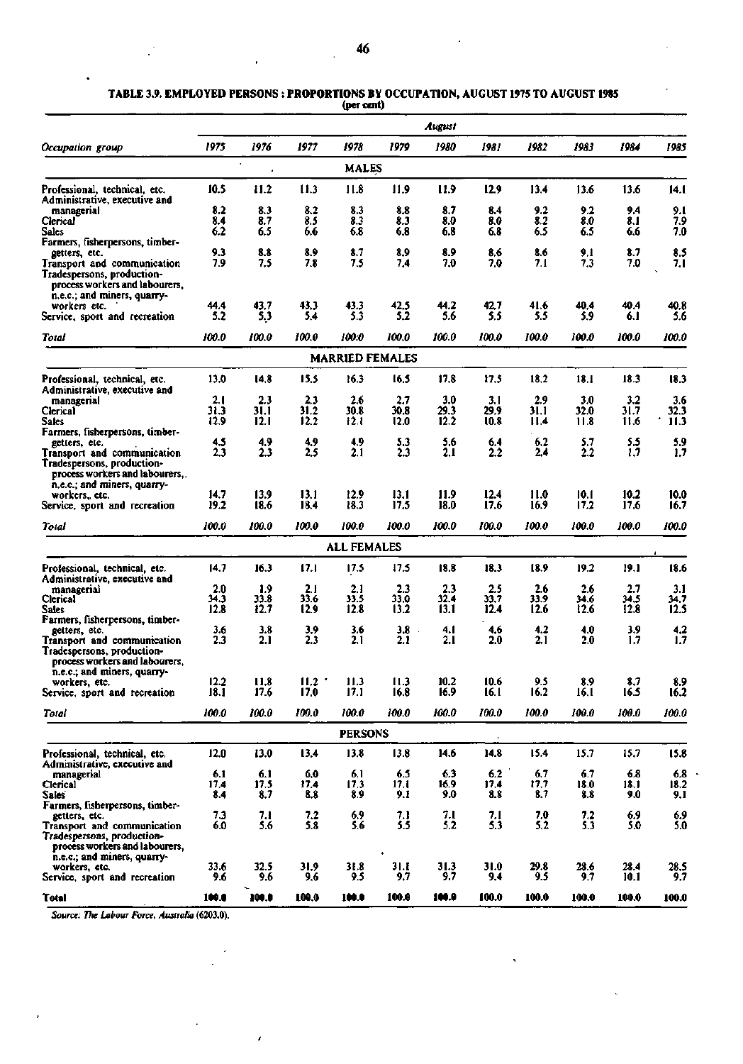|                                                                                                                                                    |              |                 |              | v--                    |              |              |              |              |              |              |                |
|----------------------------------------------------------------------------------------------------------------------------------------------------|--------------|-----------------|--------------|------------------------|--------------|--------------|--------------|--------------|--------------|--------------|----------------|
|                                                                                                                                                    |              |                 |              |                        |              | August       |              |              |              |              |                |
| Occupation group                                                                                                                                   | 1975         | 1976<br>$\cdot$ | 1977         | 1978                   | 1979         | 1980         | 1981         | 1982         | 1983         | 1984         | 1985           |
|                                                                                                                                                    |              | $\pmb{\lambda}$ |              | <b>MALES</b>           |              |              |              |              |              |              |                |
| Professional, technical, etc.<br>Administrative, executive and                                                                                     | 10.5         | 11.2            | 11.3         | 11.8                   | 11.9         | 11.9         | 12.9         | 13.4         | 13.6         | 13.6         | 14.1           |
| managerial                                                                                                                                         | 8.2          | 8.3             | 8.2          | 8.3                    | 8.8          | 8.7          | 8.4          | 9.2          | 9.2          | 9.4          | 9.1            |
| Clerical<br><b>Sales</b>                                                                                                                           | 8.4<br>6.2   | 8.7<br>6.5      | 8.5<br>6.6   | 8.3<br>6.8             | 8.3<br>6.8   | 8.0<br>6.8   | 8.0<br>6.8   | 8.2<br>6.5   | 8.0<br>6.5   | 8. I<br>6.6  | 7.9<br>7.0     |
| Farmers, fisherpersons, timber-                                                                                                                    | 9.3          | 8.8             | 8.9          | 8.7                    | 8.9          | 8.9          | 8.6          | 8.6          | 9.1          | 8.7          |                |
| getters, etc.<br>Transport and communication                                                                                                       | 7.9          | 7.5             | 7.8          | 7.5                    | 7.4          | 7.0          | 7.0          | 7.1          | 7.3          | 7.0          | 8.5<br>7.1     |
| Tradespersons, production-<br>process workers and labourers,<br>n.e.c.; and miners, quarry-                                                        |              |                 |              |                        |              |              |              |              |              |              |                |
| workers etc.                                                                                                                                       | 44.4         | 43.7            | 43,3         | 43.3                   | 42.5         | 44.2         | 42,7         | 41.6         | 40.4         | 40.4         | 40.8           |
| Service, sport and recreation                                                                                                                      | 5.2          | 5,3             | 5.4          | 5.3                    | 5.2          | 5.6          | 5.5          | 5.5          | 5.9          | 6. I         | 5.6            |
| Total                                                                                                                                              | 100.0        | 100.0           | 100.0        | 100:0                  | 100.0        | 100.0        | 100.0        | 100.0        | 100.0        | 100.0        | 100.0          |
|                                                                                                                                                    |              |                 |              | <b>MARRIED FEMALES</b> |              |              |              |              |              |              |                |
| Professional, technical, etc.<br>Administrative, executive and                                                                                     | 13.0         | 14.8            | 15,5         | 16.3                   | 16.5         | 17.8         | 17.5         | 18,2         | 18.1         | 18.3         | 18.3           |
| managerial                                                                                                                                         | 2.1          | 2.3             | 2.3          | 2.6                    | 2.7          | 3.0          | 3.1          | 2.9          | 3.0          | 3.2          | 3.6            |
| Clerical<br>Sales                                                                                                                                  | 31.3         | 31.1            | 31.2<br>12.2 | 30.8                   | 30.8         | 29.3         | 29.9         | 31.1         | 32.0         | 31.7         | 32.3<br>11.3   |
| Farmers, fisherpersons, timber-                                                                                                                    | 12.9         | 12.1            |              | 12. L                  | l2.0         | 12.2         | 10.8         | II.4         | 11.8         | 11.6         |                |
| getters, etc.                                                                                                                                      | 4.5          | 4.9             | 4,9          | 4,9                    | 5.3          | 5.6          | 6.4          | 6.2          | 5.7          | 5.5          |                |
| Transport and communication<br>Tradespersons, production-<br>process workers and labourers,<br>n.e.c.; and miners, quarry-                         | 2.3          | 2.3             | 2.5          | 2.1                    | 2.3          | 2.1          | 2.2          | 2.4          | 2.2          | 13           | $^{5.9}_{1.7}$ |
| workers,, etc.                                                                                                                                     | 14.7         | 13.9            | 13.1         | 12.9                   | 13.1         | 11.9         | 12.4         | 11.0         | 10.1         | 10.2         | 10.0           |
| Service, sport and recreation                                                                                                                      | 19.2         | 18.6            | 18.4         | 18.3                   | 17.5         | 18.0         | 17.6         | 16.9         | 17.2         | 17.6         | 16.7           |
| Total                                                                                                                                              | 100.0        | 100.0           | 100.0        | 100.0                  | 100.0        | 100.0        | 100.0        | 100.0        | 100.0        | 100.0        | 100.0          |
|                                                                                                                                                    |              |                 |              | <b>ALL FEMALES</b>     |              |              |              |              |              |              |                |
| Professional, technical, etc.<br>Administrative, executive and                                                                                     | 14.7         | 16.3            | 17.1         | 17.5                   | 17.5         | 18.8         | 18.3         | 18.9         | 19.2         | 19.1         | 18.6           |
| managerial                                                                                                                                         | 2.0          | 1.9             | 2.1          | 2.1                    | 2.3          | 2.3          | 2.5          | 2.6          | 2.6          | 2.7          | 3.1            |
| Clerical<br><b>Sales</b>                                                                                                                           | 34.3<br>12.8 | 33.8<br>12.7    | 33.6<br>12.9 | 33.5<br>12.8           | 33.0<br>13.2 | 32.4<br>13.1 | 33.7<br>12.4 | 33.9<br>12.6 | 34.6<br>12.6 | 34.5<br>12.8 | 34.7<br>12.5   |
| Farmers, fisherpersons, timber-                                                                                                                    | 3.6          | 3.8             | 3,9          | 3.6                    | 3.8          | 4.I          | 4,6          | 4.2          | 4.0          | 3.9          |                |
| getters, etc.<br><b>Transport and communication</b><br>Tradespersons, production-<br>process workers and labourers,<br>n.e.c.; and miners, quarry- | 2.3          | 2.1             | 2.3          | 2.1                    | 2.1          | 2.1          | 2.0          | 2.1          | 2.0          | 1.7          | $4.2$<br>$1.7$ |
| workers, etc.                                                                                                                                      | 12.2         | 11.8            | 11.2         | 11.3                   | 11.3         | 10.2         | 10.6         | 9.5          | 89           | 8.7          | 89             |
| Service, sport and recreation                                                                                                                      | 18.1         | 17.6            | 17.0         | 17.1                   | 16.8         | 16.9         | 16.1         | 16.2         | 16.1         | 16.5         | 16.2           |
| Total                                                                                                                                              | 100.0        | 100.0           | 100.0        | 100.0                  | 100.0        | 100.0        | 100.0        | 100.0        | 100.0        | 100.0        | 100.0          |
|                                                                                                                                                    |              |                 |              | <b>PERSONS</b>         |              |              |              |              |              |              |                |
| Professional, technical, etc.<br>Administrative, executive and                                                                                     | 12.0         | 13.0            | 13,4         | 13.8                   | 13.8         | 14.6         | 14.8         | 15.4         | 15.7         | 15.7         | 15.8           |
| managerial                                                                                                                                         | 6.1          | 6.1             | 6.0          | 6.1                    | 6.5          | 6.3          | 6.2          | 6,7          | 6.7          | 6.8          | $6.8\,$        |
| Clerical                                                                                                                                           | 17.4         | 17.5            | 17.4         | 17.3                   | 17. l        | 16.9         | 17.4         | 17.7         | 18.0         | 18.1         | 18.2           |
| Sales:<br>Farmers, fisherpersons, timber-                                                                                                          | 8.4          | 8.7             | 8.8          | 8.9                    | 9.1          | 9.0          | 8.8          | 8.7          | 8.8          | 9.0          | 9,1            |
| getters, etc.                                                                                                                                      | 7.3          | 7.1             | 7.2          | 6.9                    | 7.1          | 7.1<br>5.2   | 7.1<br>5.3   | 7.0          | 7.2<br>5.3   | 6.9          | 6.9<br>5.0     |
| Transport and communication<br>Tradespersons, production-<br>process workers and labourers,<br>n.e.c.; and miners, quarry-                         | 6.0          | 5.6             | 5.8          | 5.6                    | 5.5          |              |              | 5.2          |              | 5.0          |                |
| workers, etc.<br>Service, sport and recreation                                                                                                     | 33.6<br>9.6  | 32.5<br>9.6     | 31,9<br>9.6  | 31.8<br>9.5            | 31. t<br>9,7 | 31.3<br>9.7  | 31.0<br>9.4  | 29.8<br>9.5  | 28.6<br>9.7  | 28.4<br>10.1 | 28.5<br>9.7    |
| <b>Total</b>                                                                                                                                       | 100.0        | 100.0           | 100.0        | 100.0                  | 100.0        | 100.0        | 100.0        | 100.0        | 100.0        | 100.0        | 100.0          |

TABLE 3.9. EMPLOYED PERSONS : PROPORTIONS BY OCCUPATION, AUGUST 1975 TO AUGUST 19**8**5 **(per cent)** 

*Source: The Labour Force, Australia* **(6203.0).**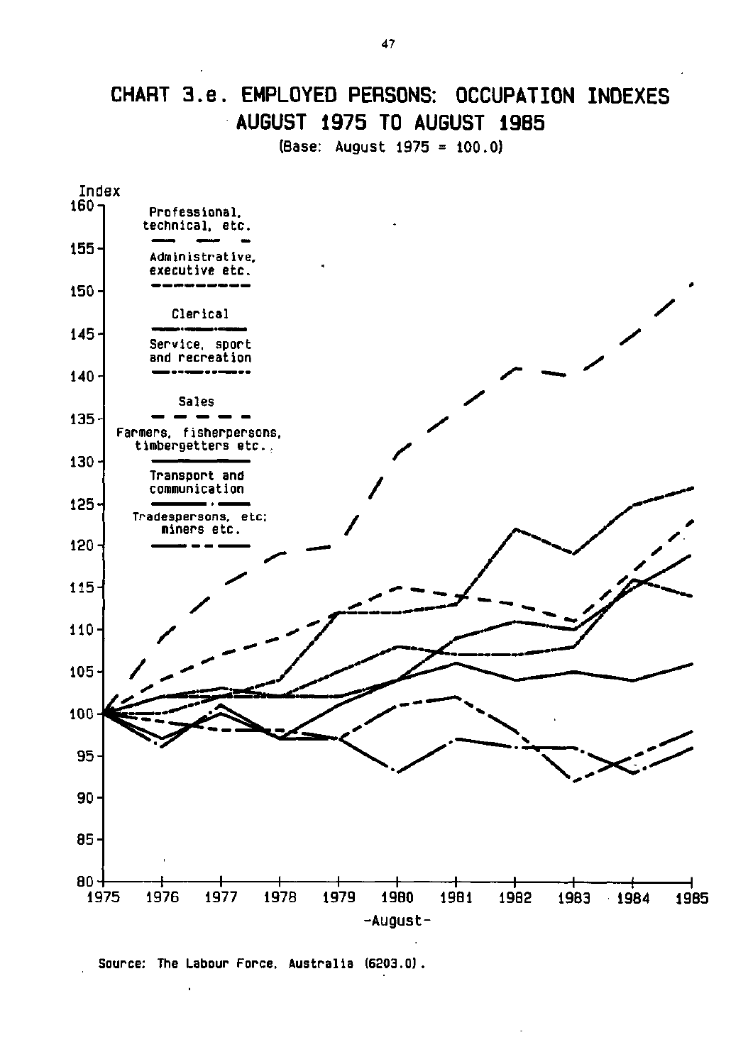# **CHART 3.e. EMPLOYED PERSONS: OCCUPATION INDEXES AUGUST 1975 TO AUGUST 19B5**

(Base: August 1975 = 100.0)

![](_page_10_Figure_2.jpeg)

Source: The Labour Force, Australia (6203.0) .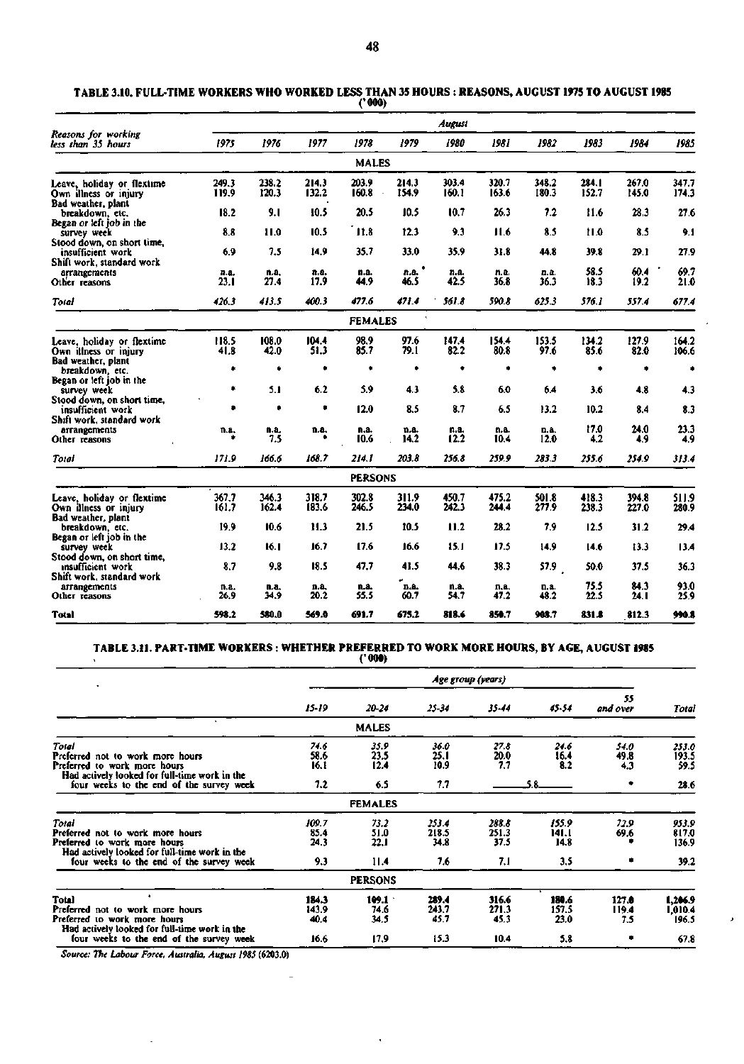|                                                                              | August         |                |                |                |                   |                |                |                |                |                |                |  |  |
|------------------------------------------------------------------------------|----------------|----------------|----------------|----------------|-------------------|----------------|----------------|----------------|----------------|----------------|----------------|--|--|
| Reasons for working<br>less than 35 hours                                    | 1975           | 1976           | 1977           | 1978           | 1979              | 1980           | 1981           | 1982           | 1983           | 1984           | 1985           |  |  |
|                                                                              |                |                |                | <b>MALES</b>   |                   |                |                |                |                |                |                |  |  |
| Leave, holiday or flextime<br>Own illness or injury<br>Bad weather, plant    | 249.3<br>119.9 | 238.2<br>120.3 | 214.3<br>132.2 | 203.9<br>160.8 | 214.3<br>154.9    | 303.4<br>160.1 | 320.7<br>163.6 | 348.2<br>180.3 | 284.1<br>152.7 | 267.0<br>145.0 | 347.7<br>174.3 |  |  |
| breakdown, etc.<br>Began or left job in the                                  | 18.2           | 9.1            | 10.5           | 20.5           | 10.5              | 10.7           | 26.3           | 7.2            | 11.6           | 28.3           | 27.6           |  |  |
| survey week<br>Stood down, on short time,                                    | 8.8            | 11.0           | 10.5           | $^{\circ}11.8$ | 12.3              | 9,3            | 11.6           | 8.5            | 11.0           | 8.5            | 9.1            |  |  |
| insufficient work<br>Shift work, standard work                               | 6.9            | 7.5            | 14.9           | 35.7           | 33.0              | 35.9           | 31.8           | 44.8           | 39.8           | 29.1           | 27.9           |  |  |
| arrangements<br>Other reasons                                                | n.a.<br>23.1   | n.a.<br>27.4   | n.a.<br>17.9   | n.a.<br>44.9   | ٠<br>n.a.<br>46.5 | n.a.<br>42.5   | n.a.<br>36.8   | D. 8.<br>36.3  | 58.5<br>18.3   | 60.4<br>19.2   | 69.7<br>21.0   |  |  |
| Total                                                                        | 426.3          | 413.5          | 400.3          | 477.6          | 471.4             | 561.8          | 590.8          | 625.3          | 576.1          | 557.4          | 677.4          |  |  |
|                                                                              |                |                |                | <b>FEMALES</b> |                   |                |                |                |                |                |                |  |  |
| Leave, holiday or flextime<br>Own illness or injury<br>Bad weather, plant    | 118.5<br>41.8  | 108.0<br>42.0  | 104.4<br>51.3  | 98,9<br>85.7   | 97.6<br>79.1      | 147.4<br>82.2  | 154.4<br>80.8  | 153.5<br>97.6  | 134.2<br>85.6  | 127.9<br>82.0  | 164.2<br>106.6 |  |  |
| breakdown, etc.                                                              | ۰              | ۰              | ۰              | ۰              | ٠                 | ۰              | ٠              | ٠              | ۰              | ۰              | ۰              |  |  |
| Began or left job in the<br>survey week<br>Stood down, on short time,        | ۰              | 5.1            | 6.2            | 5.9            | 4.3               | 5.8            | 6.0            | 6.4            | 3.6            | 4.8            | 4.3            |  |  |
| insufficient work<br>Shift work, standard work                               | ٠              | ٠              | ۰              | 12.0           | 8.5               | 8.7            | 6.5            | 13.2           | 10.2           | 8.4            | 8.3            |  |  |
| arrangements<br>Other reasons                                                | n.a.           | n.a.<br>7.5    | n.a.           | n.a.<br>10.6   | n.a.<br>14.2      | n.a.<br>12.2   | n.a.<br>10.4   | D.A.<br>12,0   | 17.0<br>4.2    | 24.0<br>4.9    | 23.3<br>4,9    |  |  |
| Toral                                                                        | 171.9          | 166.6          | 168.7          | 214.1          | 203.8             | 256.8          | 259.9          | 283.3          | 255.6          | 254.9          | 313.4          |  |  |
|                                                                              |                |                |                | <b>PERSONS</b> |                   |                |                |                |                |                |                |  |  |
| Leave, holiday or flextime<br>Own illness or injury<br>Bad weather, plant    | 367.7<br>161.7 | 346.3<br>162.4 | 318.7<br>183.6 | 302.8<br>246.5 | 311.9<br>234.0    | 450.7<br>242.3 | 475.2<br>244.4 | 501.8<br>277.9 | 418.3<br>238.3 | 394.8<br>227.0 | 511.9<br>280.9 |  |  |
| breakdown, etc.                                                              | 19.9           | 10.6           | 11.3           | 21.5           | 10.5              | 11.2           | 28.2           | 7.9            | 12.5           | 31.2           | 29.4           |  |  |
| Began or left job in the<br>survey week                                      | 13.2           | 16.1           | 16.7           | 17.6           | 16.6              | 15.1           | 17.5           | 14.9           | 14.6           | 13.3           | 13.4           |  |  |
| Stood down, on short time,<br>insufficient work<br>Shift work, standard work | 8.7            | 9.8            | 18.5           | 47.7           | 41.5              | 44.6           | 38.3           | 57.9           | 50.0           | 37.5           | 36.3           |  |  |
| arrangements<br>Other reasons                                                | n.a.<br>26.9   | n.a.<br>34.9   | n.a.<br>20.2   | n.a.<br>55.5   | ø<br>n.a.<br>60.7 | n.a.<br>54.7   | n.a.<br>47.2   | n.a.<br>48.2   | 75.5<br>22.5   | 84.3<br>24. L  | 93.0<br>25.9   |  |  |
| <b>Total</b>                                                                 | 598.2          | 580.0          | 569.0          | 691.7          | 675.2             | 818.6          | 850.7          | 908.7          | 831.8          | 812.3          | 990.8          |  |  |

**TABLE 3.10. FULL-TIME WORKERS WHO WORKED LESS THAN 35 HOURS : REASONS, AUGUST 1975 TO AUGUST 1985 ('000)** 

#### **TABLE 3.11. PART-TIME WORKERS : WHETHER PREFERRED TO WORK MORE HOURS, BY AGE, AUGUST 1985**

**('000)** 

|                                                                                                                                                                        |                              |                              |                               | Age group (years)             |                               |                       |                                 |
|------------------------------------------------------------------------------------------------------------------------------------------------------------------------|------------------------------|------------------------------|-------------------------------|-------------------------------|-------------------------------|-----------------------|---------------------------------|
|                                                                                                                                                                        | 15-19                        | 20-24                        | 25-34                         | 35-44                         | 45-54                         | 55<br>and over        | Total                           |
|                                                                                                                                                                        |                              | <b>MALES</b>                 |                               |                               |                               |                       |                                 |
| Total<br>Preferred not to work more hours<br>Preferred to work more hours<br>Had actively looked for full-time work in the                                             | 74.6<br>58.6<br>16.1         | 35.9<br>23.5<br>12.4         | 36.0<br>25.1<br>10.9          | 27.8<br>20.0<br>7.7           | 24.6<br>16.4<br>8.2           | 54.0<br>49.8<br>4.3   | 253.0<br>193.5<br>59.5          |
| four weeks to the end of the survey week                                                                                                                               | 7.2                          | 6.5                          | 7.7                           |                               |                               |                       | 28.6                            |
|                                                                                                                                                                        |                              | <b>FEMALES</b>               |                               |                               |                               |                       |                                 |
| Total<br>Preferred not to work more hours<br>Preferred to work more hours<br>Had actively looked for full-time work in the<br>four weeks to the end of the survey week | 109.7<br>85.4<br>24.3<br>9.3 | 73.2<br>51.0<br>22.1<br>11.4 | 253.4<br>218.5<br>34.8<br>7.6 | 288.8<br>251.3<br>37.5<br>7.1 | 155.9<br>141.1<br>14.8<br>3.5 | 72.9<br>69.6          | 953.9<br>817.0<br>136.9<br>39.2 |
|                                                                                                                                                                        |                              | <b>PERSONS</b>               |                               |                               |                               |                       |                                 |
| $\mathbf{r}$<br>Total<br>Preferred not to work more hours<br>Preferred to work more hours<br>Had actively looked for full-time work in the                             | 184.3<br>143.9<br>40.4       | 109.1<br>74.6<br>34.5        | 289.4<br>243.7<br>45.7        | 316.6<br>271.3<br>45.3        | 180.6<br>157.5<br>23.0        | 127.0<br>119.4<br>7.5 | 1.206.9<br>1,010.4<br>196.5     |
| four weeks to the end of the survey week                                                                                                                               | 16.6                         | 17.9                         | 15.3                          | 10.4                          | 5.8                           |                       | 67.8                            |

l,

 $\sim$ 

 $\pmb{\mathcal{E}}$ 

*Source: The Labour Force, Australia, August 1985* **(6203.0)** 

 $\ddot{\phantom{a}}$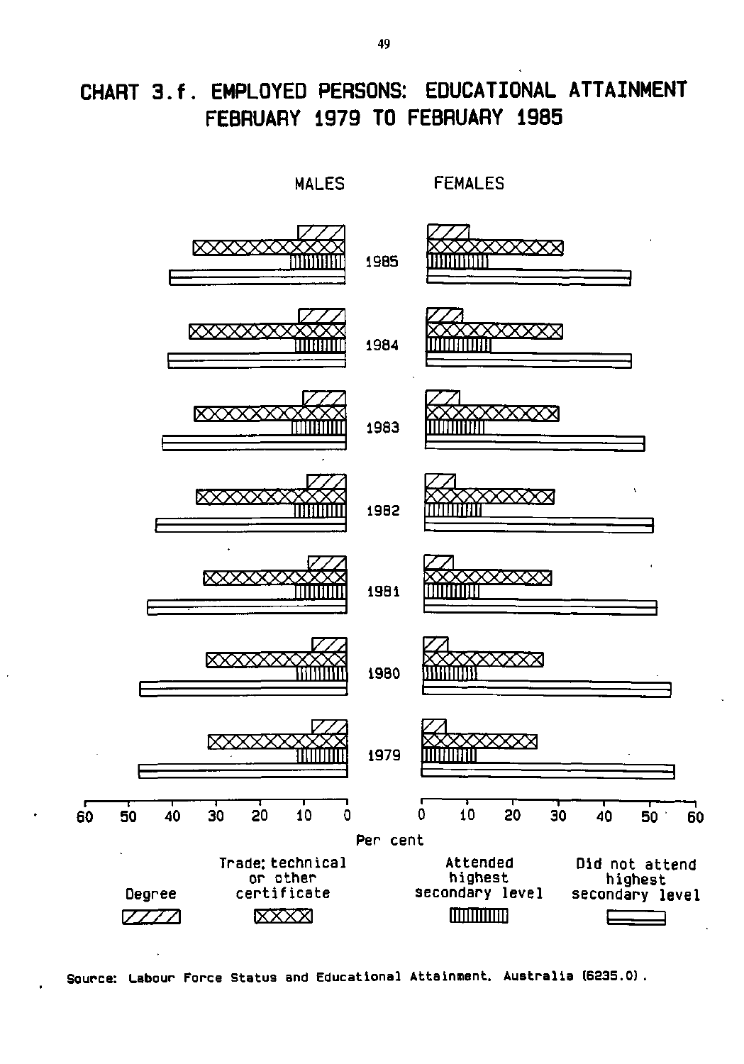# **CHART 3.f. EMPLOYED PERSONS: EDUCATIONAL ATTAINMENT FEBRUARY 1979 TO FEBRUARY 1985**

![](_page_12_Figure_1.jpeg)

**Source: Labour Force Status and Educational Attainment. Australia (6235.0)**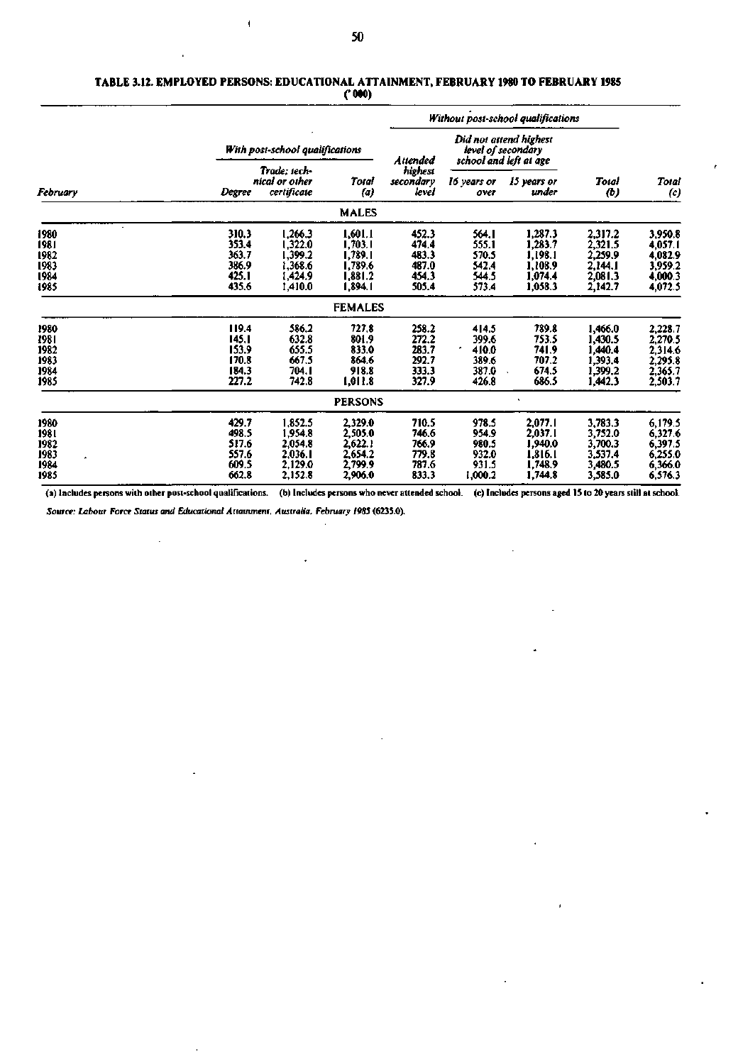$\pmb{\mathfrak{f}}$ 

#### **TABLE 3.12. EMPLOYED PERSONS: EDUCATIONAL ATTAINMENT, FEBRUARY 1980 TO FEBRUARY 1985 ('000)**

|                                              |                                                    |                                                                |                                                                |                                                    | Without post-school qualifications                      |                                                                        |                                                                |                                                                |
|----------------------------------------------|----------------------------------------------------|----------------------------------------------------------------|----------------------------------------------------------------|----------------------------------------------------|---------------------------------------------------------|------------------------------------------------------------------------|----------------------------------------------------------------|----------------------------------------------------------------|
| February                                     |                                                    | With post-school qualifications                                |                                                                | Attended                                           |                                                         | Did not attend highest<br>level of secondary<br>school and left at age |                                                                |                                                                |
|                                              | Degree                                             | Trade: tech-<br>nical or other<br>certificate                  | Total<br>(a)                                                   | highest<br>secondary<br>level                      | 16 years or<br>over                                     | 15 years or<br>under                                                   | Total<br>$\boldsymbol{c}$                                      | <b>Total</b><br>$\left( c\right)$                              |
|                                              |                                                    |                                                                | <b>MALES</b>                                                   |                                                    |                                                         |                                                                        |                                                                |                                                                |
| 1980<br>1981<br>1982<br>1983<br>1984<br>1985 | 310.3<br>353.4<br>363.7<br>386.9<br>425.1<br>435.6 | 1,266.3<br>l,322.0<br>1,399.2<br>1,368.6<br>1,424.9<br>1,410.0 | 1,601.1<br>1,703.1<br>1,789.1<br>1,789.6<br>1.881.2<br>1,894.1 | 452.3<br>474.4<br>483.3<br>487.0<br>454.3<br>505.4 | 564. I<br>555.1<br>570.5<br>542.4<br>544.5<br>573.4     | 1,287.3<br>1,283.7<br>1,198.1<br>1.108.9<br>1,074.4<br>1,058.3         | 2,317.2<br>2,321.5<br>2,259.9<br>2.144.1<br>2,081.3<br>2,142.7 | 3,950.8<br>4,057.1<br>4,082.9<br>3,959.2<br>4,000.3<br>4,072.5 |
|                                              |                                                    |                                                                | <b>FEMALES</b>                                                 |                                                    |                                                         |                                                                        |                                                                |                                                                |
| 1980<br>1981<br>1982<br>1983<br>1984<br>1985 | 119.4<br>145.1<br>153.9<br>170.8<br>184.3<br>227.2 | 586.2<br>632.8<br>655.5<br>667.5<br>704. I<br>742.8            | 727.8<br>801.9<br>833.0<br>864.6<br>918.8<br>1,011.8           | 258.2<br>272.2<br>283.7<br>292.7<br>333.3<br>327.9 | 414.5<br>399.6<br>٠<br>410.0<br>389.6<br>387.0<br>426.8 | 789.8<br>753.5<br>741.9<br>707.2<br>674.5<br>686.5                     | 1.466.0<br>1,430.5<br>1,440.4<br>1,393.4<br>1,399.2<br>1.442.3 | 2,228.7<br>2,270.5<br>2,314.6<br>2,295.8<br>2,365.7<br>2,503.7 |
|                                              |                                                    |                                                                | <b>PERSONS</b>                                                 |                                                    |                                                         |                                                                        |                                                                |                                                                |
| 1980<br>1981<br>1982<br>1983<br>1984<br>1985 | 429.7<br>498.5<br>517.6<br>557.6<br>609.5<br>662.8 | 1,852.5<br>1,954.8<br>2,054.8<br>2,036.1<br>2,129.0<br>2,152.8 | 2,329.0<br>2,505.0<br>2,622.1<br>2,654.2<br>2,799.9<br>2,906.0 | 710.5<br>746.6<br>766.9<br>779.8<br>787.6<br>833.3 | 978.5<br>954.9<br>980.5<br>932.0<br>931.5<br>1,000.2    | 2,077.1<br>2,037.1<br>1,940.0<br>1,816.1<br>1,748.9<br>1,744.8         | 3,783.3<br>3,752.0<br>3,700.3<br>3,537.4<br>3,480.5<br>3,585.0 | 6,179.5<br>6,327.6<br>6,397.5<br>6,255.0<br>6,366.0<br>6,576.3 |

(a) Includes persons with other post-school qualifications. (b) Includes persons who never attended school. (c) Includes persons aged 15 to 20 years still at school.

 $\ddot{\phantom{a}}$ 

*Source: Labour Force Status and Educational Attainment, Australia, February 1985* **(6235.0).** 

 $\ddot{\phantom{a}}$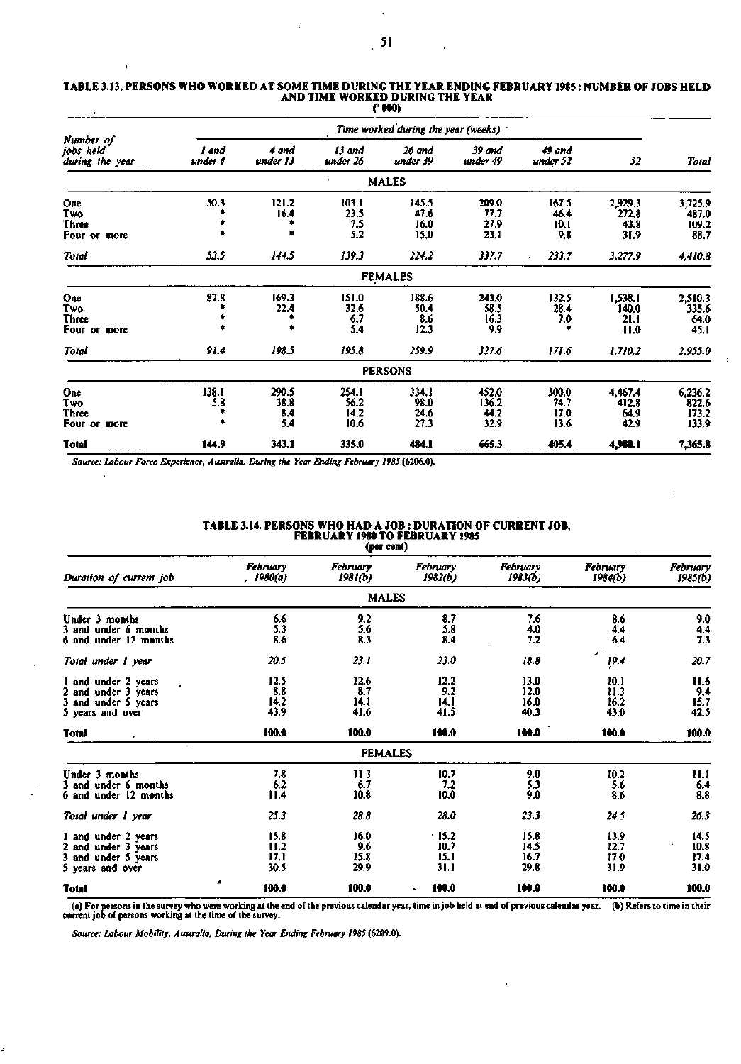| TABLE 3.13. PERSONS WHO WORKED AT SOME TIME DURING THE YEAR ENDING FEBRUARY 1985 : NUMBER OF JOBS HELD |
|--------------------------------------------------------------------------------------------------------|
| AND TIME WORKED DURING THE YEAR                                                                        |
| '' 000).                                                                                               |

|                                            |                  |                             |                               | Time worked during the year (weeks) |                                |                               |                                  |                                    |
|--------------------------------------------|------------------|-----------------------------|-------------------------------|-------------------------------------|--------------------------------|-------------------------------|----------------------------------|------------------------------------|
| Number of<br>jobs held<br>during the year  | l and<br>under 4 | 4 and<br>under 13           | 13 and<br>under 26            | 26 and<br>under 39                  | 39 and<br>under 49             | 49 and<br>under 52            | 52                               | Total                              |
|                                            |                  |                             | ٠                             | <b>MALES</b>                        |                                |                               |                                  |                                    |
| One<br>Two<br>Three<br>Four or more        | 50.3             | 121.2<br>16.4               | 103.1<br>23.5<br>7.5<br>5.2   | 145.5<br>47.6<br>16.0<br>15.0       | 209.0<br>77.7<br>27.9<br>23.1  | 167.5<br>46.4<br>10.1<br>9.8  | 2,929.3<br>272.8<br>43.8<br>31.9 | 3,725.9<br>487.0<br>109.2<br>88.7  |
| Total                                      | 53.5             | 144.5                       | 139.3                         | 224.2                               | 337.7                          | 233.7                         | 3,277.9                          | 4,410.8                            |
|                                            |                  |                             |                               | <b>FEMALES</b>                      |                                |                               |                                  |                                    |
| One<br>Two<br><b>Three</b><br>Four or more | 87.8             | 169.3<br>22.4               | 151.0<br>32.6<br>6.7<br>5.4   | 188.6<br>50.4<br>8.6<br>12.3        | 243.0<br>58.5<br>16.3<br>9.9   | 132.5<br>28.4<br>7.0          | 1,538.1<br>140.0<br>21.1<br>11.0 | 2,510.3<br>335.6<br>64.0<br>45.I   |
| Total                                      | 91.4             | 198.5                       | 195.8                         | 259.9                               | 327.6                          | 171.6                         | 1,710.2                          | 2,955.0                            |
|                                            |                  |                             |                               | <b>PERSONS</b>                      |                                |                               |                                  |                                    |
| One<br>Two<br>Three<br>Four or more        | 138.1<br>5.8     | 290.5<br>38.8<br>8.4<br>5.4 | 254.1<br>56.2<br>14.2<br>10.6 | 334.1<br>98.0<br>24.6<br>27.3       | 452.0<br>136.2<br>44.2<br>32.9 | 300.0<br>74.7<br>17.0<br>13.6 | 4,467.4<br>412.8<br>64.9<br>42.9 | 6,236.2<br>822.6<br>173.2<br>133.9 |
| <b>Total</b>                               | 144,9            | 343.1                       | 335.0                         | 484.1                               | 665.3                          | 405.4                         | 4,988.1                          | 7,365.8                            |

*Source: Labour Force Experience, Australia, During the Year Ending February 1985* **(6206.0).** 

 $\overline{1}$ 

|                                                                                       |                              | ver een,                    |                               |                              |                              |                              |
|---------------------------------------------------------------------------------------|------------------------------|-----------------------------|-------------------------------|------------------------------|------------------------------|------------------------------|
| Duration of current job                                                               | February<br>. 1980(a)        | February<br>1981(b)         | February<br>1982(b)           | February<br>1983(b)          | <b>February</b><br>1984(b)   | February<br>1985(b)          |
|                                                                                       |                              | <b>MALES</b>                |                               |                              |                              |                              |
| Under 3 months<br>3 and under 6 months<br>6 and under 12 months                       | 6.6<br>5.3<br>8.6            | 9.2<br>5.6<br>8.3           | 8.7<br>5.8<br>8.4             | 7.6<br>4.0<br>7.2            | 8.6<br>4.4<br>6,4            | 9.0<br>4.4<br>7.3            |
| Total under 1 year                                                                    | 20.5                         | 23.1                        | 23.0                          | 18.8                         | 19.4                         | 20.7                         |
| 1 and under 2 years<br>2 and under 3 years<br>3 and under 5 years<br>5 years and over | 12.5<br>8.8<br>14.2<br>43.9  | 12.6<br>8.7<br>14.1<br>41.6 | 12.2<br>9.2<br>14.1<br>41.5   | 13.0<br>12.0<br>16.0<br>40.3 | 10.1<br>11.3<br>16.2<br>43.0 | 11.6<br>9.4<br>15.7<br>42.5  |
| <b>Total</b>                                                                          | 100.0                        | 100.0                       | 100.0                         | 100.0                        | 100.0                        | 100.0                        |
|                                                                                       |                              | <b>FEMALES</b>              |                               |                              |                              |                              |
| Under 3 months<br>3 and under 6 months<br>6 and under 12 months                       | 7.8<br>6.2<br>11.4           | 11.3<br>6.7<br>10.8         | 10.7<br>7.2<br>10.0           | 9.0<br>5.3<br>9.0            | 10.2<br>5.6<br>8.6           | 11.1<br>6.4<br>8.8           |
| Total under 1 year                                                                    | 25.3                         | 28.8                        | 28.0                          | 23.3                         | 24.5                         | 26.3                         |
| 1 and under 2 years<br>2 and under 3 years<br>3 and under 5 years<br>5 years and over | 15.8<br>11.2<br>17.1<br>30.5 | 16.0<br>9.6<br>15.8<br>29.9 | .15.2<br>10.7<br>15.1<br>31.1 | 15.8<br>14,5<br>16.7<br>29.8 | 13.9<br>12.7<br>17.0<br>31.9 | 14.5<br>10.8<br>17.4<br>31.0 |
| <b>Total</b>                                                                          | 100.0                        | 100.0                       | 100.0<br>۰                    | 100.0                        | 100.0                        | 100.0                        |

**TABLE 3.14. PERSONS WHO HAD A JOB : DURATION OF CURRENT JOB, FEBRUARY 1980 TO FEBRUARY 1985 (per cent)** 

(a) For persons in the survey who were working at the end of the previous calendar year, time in job held at end of previous calendar year. (b) Refers to time in their current job of persons working at the time of the surv

*Source: Labour Mobility, Australia, During the Year Ending February 1985* **(6209.0).** 

 $\mathbf{r}$ 

 $\mathbf{I}$ 

J.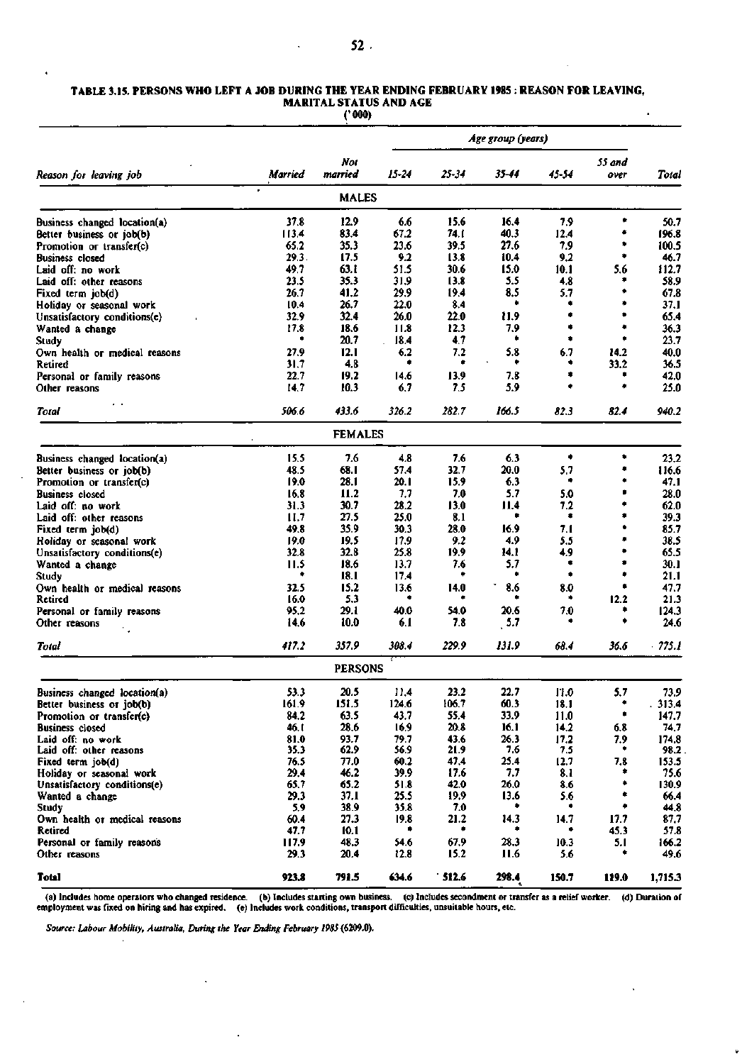#### **TABLE 3.15. PERSONS WHO LEFT A JOB DURING THE YEAR ENDING FEBRUARY 1985 : REASON FOR LEAVING, MARITAL STATUS AND AGE**   $\lambda$

**('000)** 

|                                             |               |                |              | Age group (years) |              |             |                |               |
|---------------------------------------------|---------------|----------------|--------------|-------------------|--------------|-------------|----------------|---------------|
| Reason for leaving job                      | Married       | Not<br>married | 15-24        | 25-34             | 35-44        | 45-54       | 55 and<br>over | Total         |
|                                             |               | <b>MALES</b>   |              |                   |              |             |                |               |
| Business changed location(a)                | 37.8          | 12.9           | 6.6          | 15.6              | 16.4         | 7.9         | ۰              | 50.7          |
| Better business or job(b)                   | 113.4         | 83.4           | 67.2         | 74. I             | 40.3         | 12.4        | ۰              | 196.8         |
| Promotion or transfer(c)                    | 65.2          | 35.3           | 23.6         | 39.5              | 27.6         | 7.9         | ۰              | 100.5         |
| <b>Business closed</b>                      | 29.3.         | 17.5           | 9.2          | 13.8              | 10.4         | 9.2         | ۰              | 46.7          |
| Laid off: no work                           | 49,7          | 63.I           | 51.5         | 30.6              | 15.0         | 10.1        | 5.6            | 112.7         |
| Laid off: other reasons                     | 23.5          | 35.3           | 31.9         | 13.8              | 5.5          | 4.8         | ۰              | 58.9          |
| Fixed term job(d)                           | 26.7          | 41.2           | 29.9         | 19,4              | 8.5          | 5.7         | ۰              | 67.8          |
| Holiday or seasonal work                    | 10.4          | 26.7           | 22.0         | 8.4               | ٠            |             | ۰              | 37.1          |
| Unsatisfactory conditions(e)                | 32.9          | 32.4           | 26.0         | 22.0              | 11.9         | ۰           | ۰              | 65.4          |
| Wanted a change                             | 17.8          | 18.6           | 11.8         | 12.3              | 7.9          | ۰           | ۰              | 36.3          |
| Study                                       | ۰             | 20.7           | 18.4         | 4.7               | ۰            | ۰           | ۰              | 23.7          |
| Own health or medical reasons               | 27.9          | 12.1           | 6.2          | 7.2               | 5.8          | 6.7         | 14.2           | 40.0          |
| Retired                                     | 31.7          | 4.8            | ۰            | ۰                 | ٠            | ۰           | 33.2           | 36.5          |
| Personal or family reasons                  | 22.7          | 19.2           | 14.6         | 13.9              | 7.8          | ۰           |                | 42.0          |
| Other reasons                               | 14.7          | 10.3           | 6.7          | 7.5               | 5.9          |             | ۰              | 25.0          |
| Total                                       | 506.6         | 433.6          | 326.2        | 282.7             | 166.5        | 82.3        | 82.4           | 940.2         |
|                                             |               | <b>FEMALES</b> |              |                   |              |             |                |               |
| Business changed location(a)                | 15.5          | 7.6            | 4.8          | 7.6               | 6.3          | ۰           | ۰              | 23.2          |
| Better business or job(b)                   | 48.5          | 68.1           | 57.4         | 32.7              | 20.0         | 5.7         | ٠              | 116.6         |
| Promotion or transfer(c)                    | 19.0          | 28.1           | 20. I        | 15.9              | 6.3          | ۰           | ۰              | 47.1          |
| <b>Business</b> closed                      | 16.8          | 11.2           | 7.7          | 7.0               | 5.7          | 5.0         | ۰              | 28.0          |
| Laid off: no work                           | 31.3          | 30.7           | 28.2         | 13.0              | 11.4         | 7.2         | ۰              | 62.0          |
| Laid off: other reasons                     | 11.7          | 27.5           | 25.0         | 8.1               | ۰            | ۰           | ۰<br>٠         | 39.3          |
| Fixed term job(d)                           | 49.8          | 35.9           | 30.3         | 28.0              | 16.9         | 7.1         |                | 85.7          |
| Holiday or seasonal work                    | 19.0          | 19.5           | 17.9         | 9.2               | 4.9          | 5.5         |                | 38.5          |
| Unsatisfactory conditions(e)                | 32.8          | 32.8           | 25.8         | 19.9              | 14.1         | 4,9<br>۰    | á              | 65.5          |
| Wanted a change                             | 11.5<br>٠     | 18.6           | 13.7         | 7.6<br>۰          | 5.7<br>۰     | ۰           | ۰              | 30.1          |
| Studv                                       |               | 18.1<br>15.2   | 17.4         |                   | 8.6          |             | ۰              | 21.1          |
| Own health or medical reasons<br>Retired    | 32.5<br>16.0  | 5.3            | 13.6         | 14.0              |              | 8.0         | 12.2           | 47.7<br>21.3  |
|                                             | 95.2          | 29. I          | 40.0         | 54.0              | 20.6         | 7.0         | ٠              | 124.3         |
| Personal or family reasons<br>Other reasons | 14.6          | 10.0           | 6.1          | 7.8               | 5.7          |             | ۰              | 24.6          |
| Total                                       | 417.2         | 357.9          | 308.4        | 229.9             | 131.9        | 68.4        | 36.6           | .775.1        |
|                                             |               | <b>PERSONS</b> |              |                   |              |             |                |               |
| Business changed location(a)                | 53.3          | 20.5           | 11.4         | 23.2              | 22.7         | 11.0        | 5.7            | 73.9          |
| Better business or job(b)                   | 191.9         | כ.וכו          | 124.6        | 106.7             | 60.3         | 18.1        |                | .313.4        |
| Promotion or transfer(c)                    | 84.2          | 63.5           | 43.7         | 55.4              | 33.9         | 11.0        | ۰              | 147.7         |
| <b>Business</b> closed                      | 46.I          | 28.6           | 16.9         | 20.8              | 16.1         | 14.2        | 6.8            | 74.7          |
| Laid off: no work                           | 81.0          | 93.7           | 79.7         | 43.6              | 26.3         | 17.2        | 7.9            | 174.8         |
| Laid off: other reasons                     | 35.3          | 62.9           | 56.9         | 21.9              | 7.6          | 7,5         | ٠              | 98.2          |
| Fixed term job(d)                           | 76.5          | 77.0           | 60.2         | 47,4              | 25.4         | 12.7        | 7.8            | 153.5         |
| Holiday or seasonal work                    | 29.4          | 46.2           | 39.9         | 17.6              | 7.7          | 8.1         |                | 75.6          |
| Unsatisfactory conditions(e)                | 65.7          | 65.2           | 51.8         | 42.0              | 26.0         | 8.6         | ۰              | 130.9         |
| Wanted a change                             | 29.3          | 37.1           | 25.5         | 19,9              | 13.6         | 5.6         | ٠              | 66.4          |
| Study                                       | 5.9           | 38.9           | 35.8         | 7.0               |              |             | ۰              | 44.8          |
| Own health or medical reasons               | 60.4          | 27.3           | 19.8<br>۰    | 21.2<br>۰         | 14.3         | 14.7        | 17.7           | 87,7          |
| Retired                                     | 47.7          | 10.1           |              |                   |              | ٠           | 45.3           | 57.8          |
| Personal or family reasons<br>Other reasons | 117.9<br>29.3 | 48.3<br>20.4   | 54.6<br>12.8 | 67.9<br>15.2      | 28.3<br>11.6 | 10.3<br>5.6 | 5.1            | 166.2<br>49.6 |
| Total                                       | 923.8         | 791.5          | 634.6        | 512.6             | 298.4        | 150.7       | 119.0          | 1,715.3       |

(a) Includes home operators who changed residence. (b) Includes starting own business. (c) Includes secondment or transfer as a relief worker. (d) Duration of employment was fixed on hiring and has expired. (e) Includes wo

Þ

*Source: Labour Mobility, Australia, During the Year Ending February 1985* (6209.0).

 $\ddot{\phantom{a}}$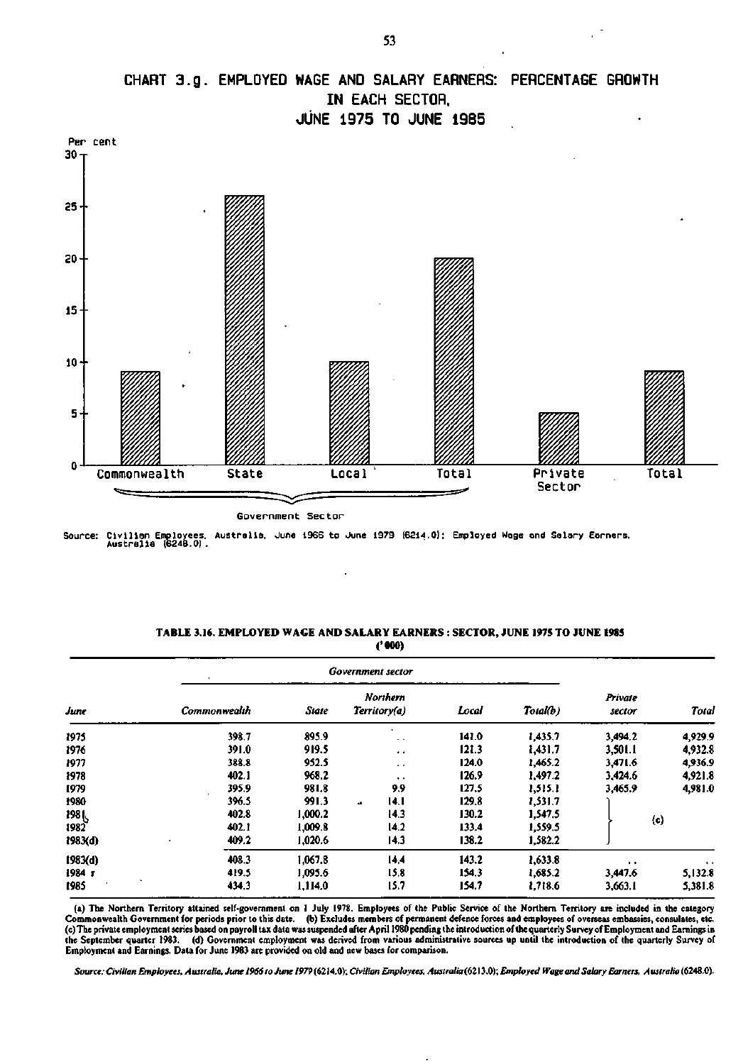![](_page_16_Figure_0.jpeg)

Government Sector

**Source: Civilian Employees. Australia. June 19E6 to June 1979 (6214.0): Employed Mage and Salary Earners, Australia (624B.0).** 

| TABLE 3.16. EMPLOYED WAGE AND SALARY EARNERS: SECTOR, JUNE 1975 TO JUNE 1985 |
|------------------------------------------------------------------------------|
| ('000)                                                                       |

|         | $\mathcal{A}$ |         | <b>Government sector</b>        |       |          |                   |                      |
|---------|---------------|---------|---------------------------------|-------|----------|-------------------|----------------------|
| June    | Commonwealth  | State   | <b>Northern</b><br>Territory(a) | Local | Total(b) | Private<br>sector | Total                |
| 1975    | 398.7         | 895.9   | ٠<br>$\sim$ $\sim$              | 141.0 | 1,435.7  | 3,494.2           | 4,929.9              |
| 1976    | 391.0         | 919.5   | $\ddot{\phantom{1}}$            | 121.3 | 1,431.7  | 3,501.1           | 4,932.8              |
| 1977    | 388.8         | 952.5   | $\ddot{\phantom{0}}$            | 124.0 | 1,465.2  | 3,471.6           | 4,936.9              |
| 1978    | 402.1         | 968.2   | $\ddot{\phantom{1}}$            | 126.9 | 1,497.2  | 3,424.6           | 4,921.8              |
| 1979    | 395.9         | 981.8   | 9,9                             | 127.5 | 1,515.1  | 3,465.9           | 4,981.0              |
| 1980    | 396.5         | 991.3   | 14.I<br>44                      | 129.8 | 1,531.7  |                   |                      |
| 198 L   | 402.8         | 1,000.2 | 14.3                            | 130.2 | 1,547.5  |                   |                      |
| 1982    | 402.1         | 1,009.8 | 14.2                            | 133.4 | 1,559.5  |                   | (c)                  |
| 1983(d) | 409.2         | 1,020.6 | 14.3                            | 138.2 | 1,582.2  |                   |                      |
| 1983(d) | 408.3         | 1.067.8 | 14.4                            | 143.2 | 1,633.8  | $\cdots$          | $\ddot{\phantom{1}}$ |
| 1984 г  | 419.5         | 1.095.6 | 15.8                            | 154.3 | 1,685.2  | 3,447.6           | 5,132.8              |
| 1985    | 434.3         | 1,114.0 | 15.7                            | 154.7 | 1,718.6  | 3,663.1           | 5,381.8              |

(a) The Northern Territory attained self-government on 1 July 1978. Employees of the Public Service of the Northern Territory are included in the category Commonwealth Government for periods prior to this date. (b) Excludes members of permanent defence forces and employees of overseas embassies, consulates, etc.<br>(c) The private employment series based on payroll tax data was the September quarter 1983. (d) Government employment was derived from various administrative sources up until the introduction of the quarterly Survey of Employment and Earnings. Data for June 1983 are provided on old and new bases for comparison.

*Source: Civilian Employees. Australia. June 1966 to June* /°79(6214.0); *Civilian Employees. Australia (62X5.0); Employed Wage and Salary Earners, Australia* (6248.0).

**CHART 3.g . EMPLOYED WAGE AND SALARY EARNERS: PERCENTAGE GROWTH**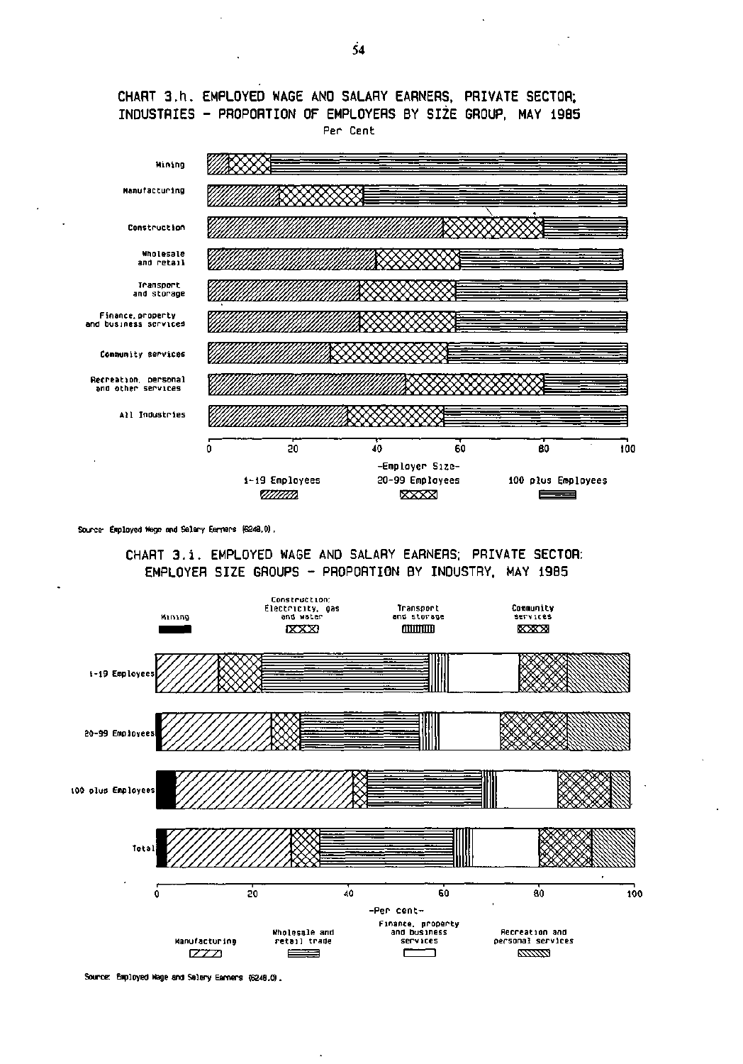![](_page_17_Figure_0.jpeg)

![](_page_17_Figure_1.jpeg)

Source- Employed Wage and Salary Earners (6248.0).

CHART 3.i. EMPLOYED WAGE AND SALARY EARNERS; PRIVATE SECTOR: EMPLOYER SIZE GROUPS - PROPORTION BY INDUSTRY. MAY 1985

![](_page_17_Figure_4.jpeg)

 $\ddot{\phantom{0}}$ 

**Source: Employed Wage and Salary Earners (6248.0).** 

 $\ddot{\phantom{a}}$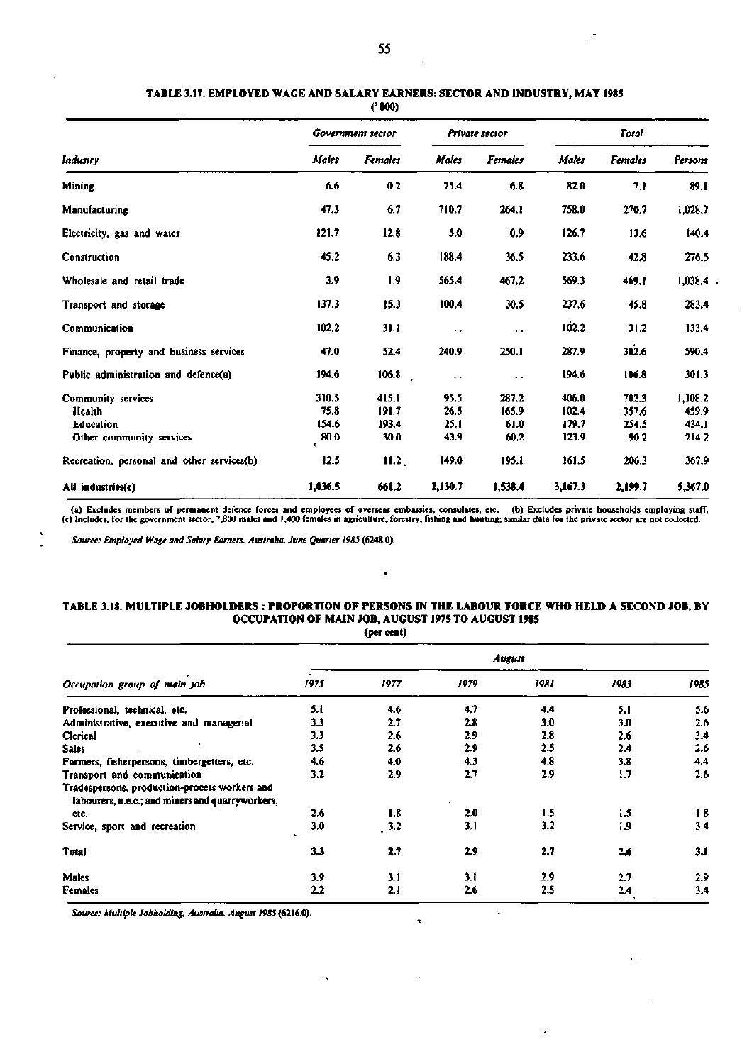## **TABLE 3.17. EMPLOYED WAGE AND SALARY EARNERS: SECTOR AND INDUSTRY, MAY 1985**

**('000)** 

|                                                                              |                                | Government sector               |                              | Private sector                 |                                  | <b>Total</b>                    |                                    |  |
|------------------------------------------------------------------------------|--------------------------------|---------------------------------|------------------------------|--------------------------------|----------------------------------|---------------------------------|------------------------------------|--|
| Industry                                                                     | Males                          | <b>Females</b>                  | <b>Males</b>                 | <b>Females</b>                 | Males                            | <b>Females</b>                  | Persons                            |  |
| Mining                                                                       | 6.6                            | 0.2                             | 75.4                         | 6.8                            | 82.0                             | 7.1                             | 89.1                               |  |
| Manufacturing                                                                | 47.3                           | 6.7                             | 710.7                        | 264.1                          | 758.0                            | 270.7                           | 1,028.7                            |  |
| Electricity, gas and water                                                   | 121.7                          | 12.8                            | 5.0                          | 0.9                            | 126.7                            | 13.6                            | 140.4                              |  |
| Construction                                                                 | 45.2                           | 6.3                             | 188.4                        | 36.5                           | 233.6                            | 42.8                            | 276.5                              |  |
| Wholesale and retail trade                                                   | 3.9                            | 1.9                             | 565.4                        | 467.2                          | 569.3                            | 469.1                           | 1,038.4                            |  |
| Transport and storage                                                        | 137.3                          | 15.3                            | 100.4                        | 30.5                           | 237.6                            | 45.8                            | 283.4                              |  |
| Communication                                                                | 102.2                          | 31.1                            | $\ddot{\phantom{0}}$         | $\ddot{\phantom{a}}$           | 102.2                            | 31.2                            | 133.4                              |  |
| Finance, property and business services                                      | 47.0                           | 52.4                            | 240.9                        | 250.1                          | 287.9                            | 302.6                           | 590.4                              |  |
| Public administration and defence(a)                                         | 194.6                          | 106.8                           | $\ddot{\phantom{0}}$         | $\ddot{\phantom{a}}$           | 194.6                            | 106.8                           | 301.3                              |  |
| Community services<br>Health<br><b>Education</b><br>Other community services | 310.5<br>75.8<br>154.6<br>80.0 | 415.1<br>191.7<br>193.4<br>30.0 | 95.5<br>26.5<br>25.1<br>43.9 | 287.2<br>165.9<br>61.0<br>60.2 | 406.0<br>102.4<br>179.7<br>123.9 | 702.3<br>357.6<br>254.5<br>90.2 | 1,108.2<br>459.9<br>434.1<br>214.2 |  |
| Recreation, personal and other services(b)                                   | 12.5                           | 11.2 <sub>1</sub>               | 149.0                        | 195.1                          | 161.5                            | 206.3                           | 367.9                              |  |
| All industries(c)                                                            | 1,036.5                        | 661.2                           | 2,130.7                      | 1,538.4                        | 3,167.3                          | 2,199.7                         | 5,367.0                            |  |

a) Excludes members of permanent defence forces and employees of overseas embassies, consulates, etc. (b) Excludes private households employing staff, (c) includes, for the government sector, 7,800 males and 1,400 females

*Source: Employed Wage and Salary Earners, Australia, June Quarter 1985* **(6248.0).** 

## **TABLE 3.18. MULTIPLE JOBHOLDERS : PROPORTION OF PERSONS IN THE LABOUR FORCE WHO HELD A SECOND JOB, BY OCCUPATION OF MAIN JOB, AUGUST 1975 TO AUGUST 1985**

 $\bullet$ 

**(per cent)** 

|                                                                                                   |      |      |      | <b>August</b>    |      |      |  |  |  |  |
|---------------------------------------------------------------------------------------------------|------|------|------|------------------|------|------|--|--|--|--|
| Occupation group of main job                                                                      | 1975 | 1977 | 1979 | 1981             | 1983 | 1985 |  |  |  |  |
| Professional, technical, etc.                                                                     | 5.1  | 4.6  | 4.7  | 4.4              | 5. I | 5.6  |  |  |  |  |
| Administrative, executive and managerial                                                          | 3.3  | 2.7  | 2.8  | 3.0              | 3.0  | 2.6  |  |  |  |  |
| Clerical                                                                                          | 3.3  | 2.6  | 2.9  | 2.8              | 2.6  | 3,4  |  |  |  |  |
| <b>Sales</b>                                                                                      | 3.5  | 2.6  | 2.9  | 2.5              | 2.4  | 2.6  |  |  |  |  |
| Farmers, fisherpersons, timbergetters, etc.                                                       | 4.6  | 4.0  | 4.3  | 4.8              | 3.8  | 4.4  |  |  |  |  |
| Transport and communication                                                                       | 3.2  | 2.9  | 2.7  | 2.9              | 1.7  | 2.6  |  |  |  |  |
| Tradespersons, production-process workers and<br>labourers, n.e.c.; and miners and quarryworkers, |      |      |      |                  |      |      |  |  |  |  |
| etc.                                                                                              | 2.6  | 1.8  | 2.0  | $1.5\phantom{0}$ | 1.5  | 1.8  |  |  |  |  |
| Service, sport and recreation                                                                     | 3.0  | 3.2  | 3.1  | 3.2              | 1.9  | 3.4  |  |  |  |  |
| Total                                                                                             | 3.3  | 2.7  | 2.9  | 2.7              | 2.6  | 3.1  |  |  |  |  |
| Males                                                                                             | 3.9  | 3.1  | 3.1  | 2.9              | 2.7  | 2.9  |  |  |  |  |
| Females                                                                                           | 2.2  | 2.1  | 2.6  | 2.5              | 2.4  | 3.4  |  |  |  |  |

 $\cdot$  ,

 $\ddot{\phantom{0}}$ 

 $\overline{\phantom{a}}$ 

н.

*Source: Multiple Jobholding, Australia, August 1985* **(6216.0).**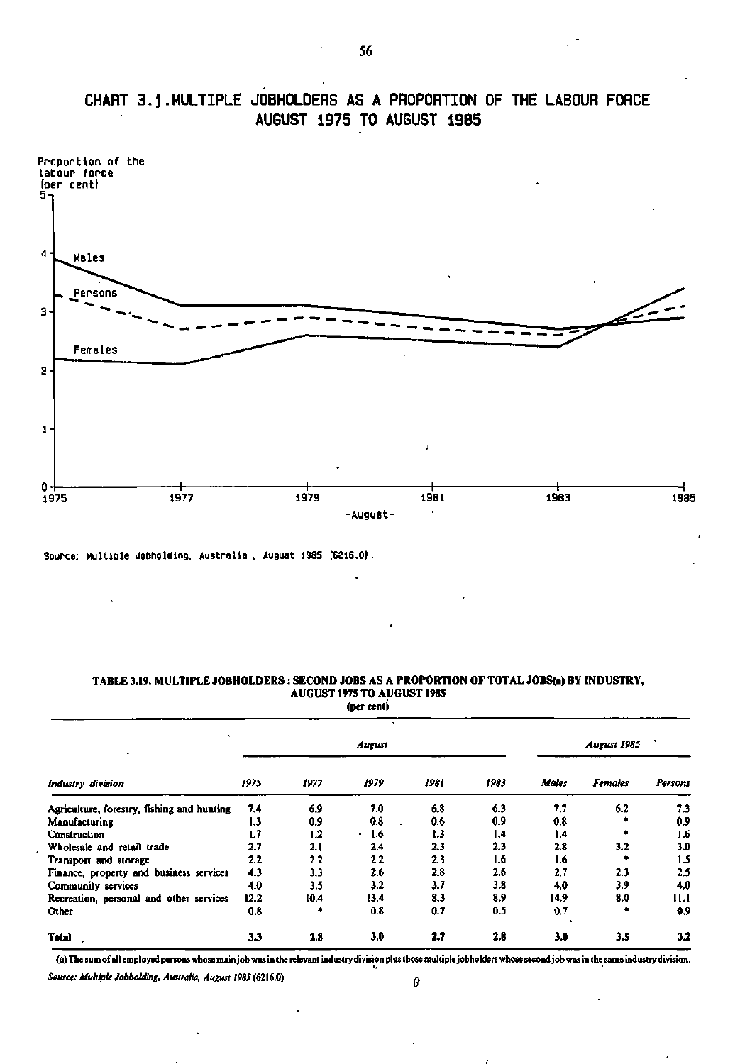![](_page_19_Figure_0.jpeg)

# **CHART 3.j.MULTIPLE JOBHOLDERS AS A PROPORTION OF THE LABOUR FORCE AUGUST 1975 TO AUGUST 19B5**

Source: Multiple Jobholding, Australia, August 1985 (6216.0). **Source: Multiple Jobholdlng, Australia . August 198S (6216.0).** 

| Industry division                          |      |         | August |      |      |              | August 1985    |         |
|--------------------------------------------|------|---------|--------|------|------|--------------|----------------|---------|
|                                            | 1975 | 1977    | 1979   | 1981 | 1983 | <b>Males</b> | <b>Females</b> | Persons |
| Agriculture, forestry, fishing and hunting | 7.4  | 6.9     | 7.0    | 6.8  | 6.3  | 7.7          | 6.2            | 7.3     |
| Manufacturing                              | 1.3  | 0.9     | 0.8    | 0.6  | 0.9  | 0.8          |                | 0.9     |
| Construction                               | L.7  | $1.2\,$ | 1.6    | 1.3  | 1.4  | 1.4          |                | 1.6     |
| Wholesale and retail trade                 | 2.7  | 2.1     | 2.4    | 2.3  | 2.3  | 2.8          | 3.2            | 3.0     |
| Transport and storage                      | 2.2  | 2.2     | 2.2    | 2.3  | 1.6  | 1.6          |                | 1.5     |
| Finance, property and business services    | 4.3  | 3.3     | 2.6    | 2.8  | 2.6  | 2.7          | 2.3            | 2,5     |
| Community services                         | 4.0  | 3.5     | 3.2    | 3.7  | 3.8  | 4.0          | 3.9            | 4.0     |
| Recreation, personal and other services    | 12.2 | 10.4    | 13.4   | 8.3  | 8.9  | 14.9         | 8.0            | 11.1    |
| Other                                      | 0.8  |         | 0.8    | 0.7  | 0.5  | 0.7          |                | 0.9     |
| <b>Total</b>                               | 3.3  | 2.8     | 3.0    | 2.7  | 2.8  | 3.0          | 3.5            | 3.2     |

## **TABLE 3.19. MULTIPLE JOBHOLDERS : SECOND JOBS AS A PROPORTION OF TOTAL JOBS(a) BY INDUSTRY, AUGUST 1975 TO AUGUST 1985**

**(per cent)** 

**(a) The sum of all employed persons whose main job was in the relevant industry division plus those multiple jobholders whose second job was in the same industry division.** 

*Source: Multiple Jobholding. Australia, August 1985* **(6216.0). A**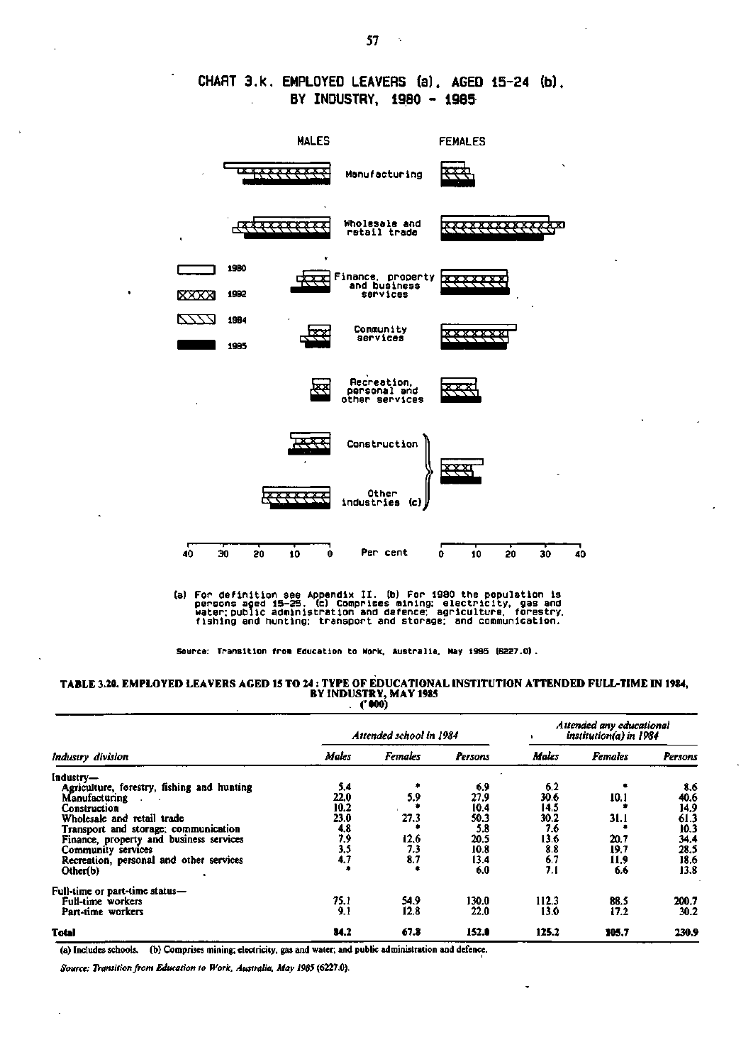## **CHART 3.k. EMPLOYED LEAVERS (a). AGED 15-24 (b), BY INDUSTRY. 1980 - 1985**

![](_page_20_Figure_1.jpeg)

(a) For definition see Appendix II. (b) For 1980 the population is<br>persons aged 15–25. (c) Comprises mining: electricity, gas and<br>water:public administration and defence: agriculture, forestry.<br>fishing and hunting: transpo

**Source: Transition from Education to Work. Australia. Hay 19B5 16227.0),** 

## **TABLE 3.20. EMPLOYED LEAVERS AGED 15 TO 24 : TYPE OF EDUCATIONAL INSTITUTION ATTENDED FULL-TIME IN 1984, BY INDUSTRY, MAY 1985**  . **('000)**

|                                            |              | Attended school in 1984 |         |              | Attended any educational<br>institution(a) in 1984 |         |
|--------------------------------------------|--------------|-------------------------|---------|--------------|----------------------------------------------------|---------|
| Industry division                          | <b>Males</b> | <b>Females</b>          | Persons | <b>Males</b> | <b>Females</b>                                     | Persons |
| [ndustrv—                                  |              |                         |         |              |                                                    |         |
| Agriculture, forestry, fishing and hunting | 5.4          |                         | 6.9     | 6,2          |                                                    | 8.6     |
| Manufacturing<br>$\sim$                    | 22.0         | 5.9                     | 27.9    | 30.6         | 10.1                                               | 40.6    |
| Construction                               | 10.2         |                         | 10.4    | 14.5         |                                                    | 14.9    |
| Wholesale and retail trade                 | 23.0         | 27.3                    | 50.3    | 30.2         | 31.I                                               | 61.3    |
| Transport and storage; communication       | 4.8          |                         | 5.8     | 7.6          |                                                    | 10.3    |
| Finance, property and business services    | 7,9          | 12.6                    | 20.5    | 13.6         | 20.7                                               | 34.4    |
|                                            | 3.5          | 7.3                     | 10.8    | 8.8          | 19.7                                               | 28.5    |
| Community services                         | 4.7          | 8.7                     | 13.4    | 6.7          |                                                    |         |
| Recreation, personal and other services    |              |                         |         |              | 11,9                                               | 18.6    |
| Other(b)                                   |              |                         | 6.0     | 7.1          | 6.6                                                | 13.8    |
| Full-time or part-time status—             |              |                         |         |              |                                                    |         |
| Full-time workers                          | 75.1         | 54.9                    | 130.0   | 112.3        | 88.5                                               | 200.7   |
| Part-time workers                          | 9.1          | 12.8                    | 22.0    | 13.0         | 17.2                                               | 30.2    |
| Total                                      | 84.2         | 67.8                    | 152.0   | 125.2        | 105.7                                              | 230.9   |

(a) Includes schools, (b) Comprises mining; electricity, gas and water; and public administration and defence.

*Source: Transition from Education to Work, Australia, May 198}* **(6227.0).**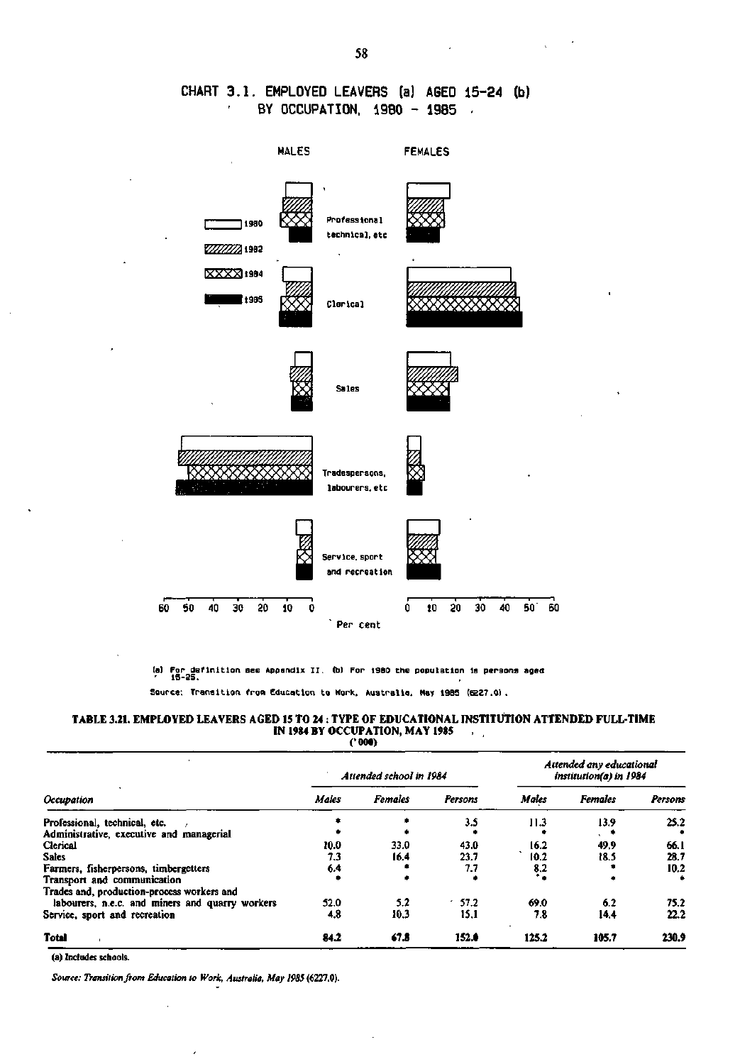## **CHART 3.1. EMPLOYED LEAVERS (a) AGED 15-24 (b) BY OCCUPATION, 1980 - 19B5 -**

![](_page_21_Figure_1.jpeg)

**(a) For definition see Appendix II. (bl For 19B0 the population Is persons aged 15-25.** 

**Source: Transition from Education to Work, Australia. May 1985 (E227.0).** 

#### **TABLE 3.21. EMPLOYED LEAVERS AGED 15 TO 24 : TYPE OF EDUCATIONAL INSTITUTION ATTENDED FULL-TIME IN 1984 BY OCCUPATION, MAY 1985 . ('000)**

|                                                 |       | Attended school in 1984 |         |              | Attended any educational<br>institution(a) in 1984 |         |
|-------------------------------------------------|-------|-------------------------|---------|--------------|----------------------------------------------------|---------|
| Occupation                                      | Males | <b>Females</b>          | Persons | <b>Males</b> | <b>Females</b>                                     | Persons |
| Professional, technical, etc.                   |       |                         | 3.5     | 11.3         | 13.9                                               | 25.2    |
| Administrative, executive and managerial        |       |                         |         |              |                                                    |         |
| Clerical                                        | 10.0  | 33.0                    | 43.0    | 16.2         | 49.9                                               | 66.1    |
| Sales                                           | 7.3   | 16.4                    | 23.7    | 10.2         | 18.5                                               | 28.7    |
| Farmers, fisherpersons, timbergetters           | 6.4   |                         | 7.7     | 8.2          |                                                    | 10.2    |
| Transport and communication                     |       |                         |         | ٠.           |                                                    |         |
| Trades and, production-process workers and      |       |                         |         |              |                                                    |         |
| labourers, n.e.c. and miners and quarry workers | 52.0  | 5.2                     | 57.2    | 69.0         | 6.2                                                | 75.2    |
| Service, sport and recreation                   | 4.8   | 10.3                    | 15.1    | 7.8          | 14.4                                               | 22.2    |
| <b>Total</b>                                    | 84.2  | 67.8                    | 152.0   | 125.2        | 105.7                                              | 230.9   |

(a) Includes schools.

*Source: Transition from Education to Work, Australia. May 1985* **(6227.0).**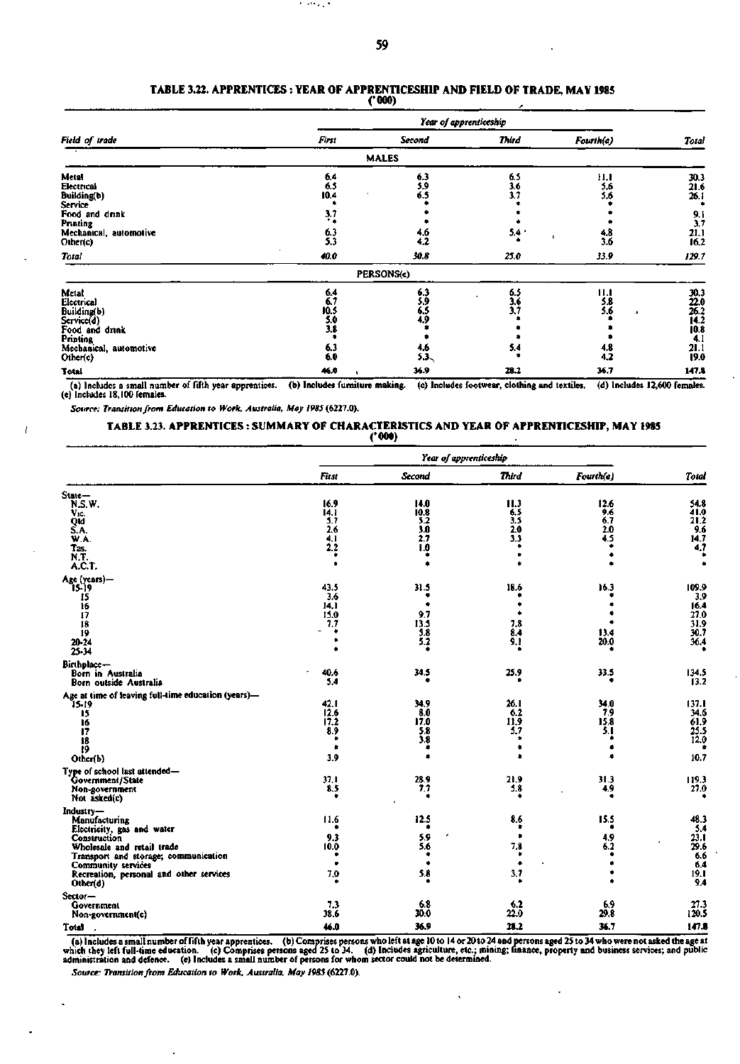an att villa

#### **TABLE 3.22. APPRENTICES : YEAR OF APPRENTICESHIP AND FIELD OF TRADE, MAY 1985 ('000)**

|                                                                                                                                         | Year of apprenticeship                          |                                                 |                                         |                                          |                                                                                  |  |
|-----------------------------------------------------------------------------------------------------------------------------------------|-------------------------------------------------|-------------------------------------------------|-----------------------------------------|------------------------------------------|----------------------------------------------------------------------------------|--|
| Field of trade                                                                                                                          | First                                           | <b>Second</b>                                   | Third                                   | Fourth(a)                                | Total                                                                            |  |
|                                                                                                                                         |                                                 | <b>MALES</b>                                    |                                         |                                          |                                                                                  |  |
| Meta!<br>Electrical<br>Building(b)<br>Service <sup>1</sup><br>Food and drink<br>Printing<br>Mechanical, automotive<br>Other(c)<br>Total | 6.4<br>6.5<br>10.4<br>3.7<br>6.3<br>5.3<br>40.0 | $^{6.3}_{5.9}$<br>6.5<br>4.6<br>4.2<br>30.8     | 6.5<br>$\frac{3.6}{3.7}$<br>5.4<br>25.0 | 11.1<br>5.6<br>5.6<br>4.8<br>3.6<br>33.9 | $\frac{30.3}{21.6}$<br>26.1<br>$\frac{9.1}{3.7}$<br>$\frac{21.1}{16.2}$<br>129.7 |  |
|                                                                                                                                         |                                                 | PERSONS(e)                                      |                                         |                                          |                                                                                  |  |
| Metal<br>ticcurical<br>Building(b)<br>Service(d)<br>Food and drink<br>Printing<br>Mechanical, automotive<br>Other(c)                    | 6.4<br>6.7<br>10.5<br>5.0<br>3.8<br>6.3<br>6.0  | 6.3<br>5,9<br>6.5<br>4,9<br>4.6<br>$5.3_{\sim}$ | 6.5<br>3.6<br>3.7<br>5.4                | 11.1<br>5.8<br>5.6<br>٠<br>4.8<br>4.2    | 30.3<br>22.0<br>26.2<br>14.2<br>10.8<br>4.1<br>21.1<br>19.0                      |  |
| Total                                                                                                                                   | 46.0                                            | 36.9                                            | 28.2                                    | 36.7                                     | 147.8                                                                            |  |

(a) Includes a small number of fifth year apprentices. (b) Includes furniture making. (c) Includes footwear, clothing and textiles, (d) Includes 12,600 females.<br>(e) Includes 18,100 females.

*Source: Transition from Education to Work, Australia. May 1985* **(6227.0).** 

Ī

l.

#### **TABLE** 3.23. **APPRENTICES** : **SUMMARY OF CHARACTERISTICS AND YEAR OF APPRENTICESHIP, MAY 1985 ('000)**

|                                                            | Year of apprenticeship |               |                   |             |                     |
|------------------------------------------------------------|------------------------|---------------|-------------------|-------------|---------------------|
|                                                            | First                  | <b>Second</b> | <b>Third</b>      | Fourth(a)   | Total               |
| State-                                                     |                        |               |                   |             |                     |
| N.S.W.                                                     | 16.9                   | 14.0          | 11.3              | 12.6        | 54.8                |
| Vic.<br>Qld                                                | 14.1<br>5.7            | 10.8<br>5.2   | $\frac{6.5}{3.5}$ | 9.6<br>6.7  | 41.0<br>21.2        |
| S.A.                                                       | 2.6                    | 3.0           |                   | 2.0         | 9.6                 |
| W.A.                                                       | 4.1                    | 2.7           | $\frac{2.0}{3.3}$ | 4.5         | 14.7                |
| Tas.                                                       | 2.2<br>٠               | 1.0           |                   |             | $\mathbf{A}$        |
| N.T.<br>A.C.T.                                             | ٠                      | ٠             |                   |             | ٠                   |
| Age (years)-                                               |                        |               |                   |             |                     |
| 15-19                                                      | 43.5                   | 31.5          | 18.6              | 16.3        | 109.9<br>3.9        |
| 15<br>16                                                   | 3.6<br>14.1            |               |                   |             | 16.4                |
| 17                                                         | 15.0                   | 9.7           |                   |             | 27.0                |
| 18                                                         | 7.7                    | 13.5          | 7.8               |             | 31.9                |
| 19                                                         |                        | 5.8           | 8.4               | 13.4        | 30.7                |
| 20-24<br>25-34                                             |                        | 5.2           | 9.1               | 20.0        | 36.4                |
| Birthplace-                                                |                        |               |                   |             |                     |
| Born in Australia                                          | 40.6                   | 34.5          | 25.9              | 33.5        | 134.5               |
| Born outside Australia                                     | 5.4                    |               |                   |             | 13.2                |
| Age at time of leaving full-time education (years)-        |                        |               |                   |             |                     |
| 15-19                                                      | 42.1                   | 34.9          | 26.1              | 34.0        | 137.1               |
| 15                                                         | 12.6                   | 8.0           | 6.2               | 7.9         | 34.6                |
| 16<br>17                                                   | 17.2<br>8.9            | 17.0<br>5.8   | 11.9<br>5.7       | 15.8<br>5.1 | 61.9<br>25.5        |
| 18                                                         | ٠                      | 3.8           | ۰                 |             | 12.0                |
| 19                                                         | ۰                      |               |                   |             |                     |
| Other(b)                                                   | 3.9                    |               | ٠                 | ۰           | 10.7                |
| Type of school last attended-                              |                        |               |                   |             |                     |
| Government/State                                           | 37.1                   | 28.9          | 21.9              | 31.3        | 119.3               |
| Non-government<br>Not asked(c)                             | 8.5                    | 7,7           | 5.8               | 4,9         | 27.0                |
| Industry—                                                  |                        |               |                   |             |                     |
| Manufacturing                                              | 11.6                   | 12.5          | 8.6               | 15.5        | 48.3                |
| Electricity, gas and water                                 |                        |               |                   |             | 5.4                 |
| <b>Construction</b>                                        | 9.3                    | 5.9           | ٠                 | 4,9         | $\frac{23.1}{29.6}$ |
| Wholesale and retail trade                                 | 10.0                   | 5.6           | 7.8<br>٠          | 6.2         |                     |
| Transport and storage; communication<br>Community services |                        |               | ۰                 |             | 6.6<br>6.4          |
| Recreation, personal and other services                    | 7.0                    | 5.8           | 3,7               |             | 19.1                |
| Other(d)                                                   |                        |               |                   |             | 9.4                 |
| Sector-                                                    |                        |               |                   |             |                     |
| Government                                                 | 7.3<br>38.6            | 6.8<br>30.0   | 6.2<br>22.0       | 6.9<br>29.8 | 27.3<br>120.5       |
| Non-government(e)                                          |                        |               |                   |             |                     |
| Total                                                      | 46.0                   | 36.9          | 28.2              | 36.7        | 147.8               |

(a) Includes a small number of fifth year apprentices. (b) Comprises persons who left at age 10 to 14 or 20 to 24 and persons aged 25 to 34 who were not asked the age at<br>which they left full-time education. (c) Comprises p

*Source: Transition from Education to Work. Australia. May 1985* **(6227.0).** 

l,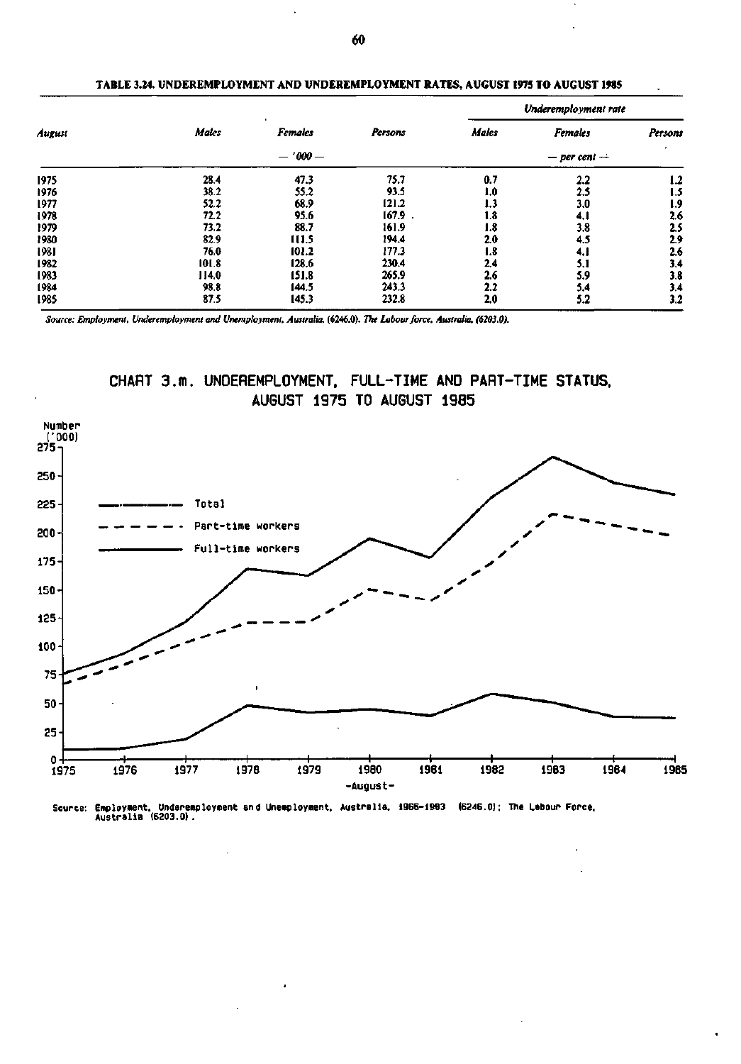|        |       |                     |         | Underemployment rate |                               |         |  |  |
|--------|-------|---------------------|---------|----------------------|-------------------------------|---------|--|--|
| August | Males | ٠<br><b>Females</b> | Persons | <b>Males</b>         | <b>Females</b>                | Persons |  |  |
|        |       | $-1000 -$           |         |                      | $\bullet$<br>$-$ per cent $-$ |         |  |  |
| 1975   | 28.4  | 47.3                | 75.7    | 0.7                  | 2.2                           | 1.2     |  |  |
| 1976   | 38.2  | 55.2                | 93.5    | 1.0                  | 2.5                           | 1.5     |  |  |
| 1977   | 52.2  | 68.9                | 121.2   | 1.3                  | 3.0                           | 1.9     |  |  |
| 1978   | 72.2  | 95.6                | 167.9   | 1.8                  | 4. I                          | 2.6     |  |  |
| 1979   | 73.2  | 88.7                | 161.9   | 1.8                  | 3.8                           | 25      |  |  |
| 1980   | 82.9  | 111.5               | 194.4   | 2.0                  | 4.5                           | 2.9     |  |  |
| 1981   | 76.0  | 101.2               | 177.3   | 1.8                  | 4. I                          | 2.6     |  |  |
| 1982   | 101.8 | 128.6               | 230.4   | 2.4                  | 5.1                           | 3.4     |  |  |
| 1983   | 114.0 | 151.8               | 265.9   | 2.6                  | 5.9                           | 3.8     |  |  |
| 1984   | 98.8  | 144.5               | 243.3   | 2.2                  | 5.4                           | 3,4     |  |  |
| 1985   | 87.5  | 145.3               | 232.8   | 2.0                  | 5.2                           | 3.2     |  |  |

### **TABLE 3.24. UNDEREMPLOYMENT AND UNDEREMPLOYMENT RATES, AUGUST 1975 TO AUGUST 1985**

*Source: Employment, Underemployment and Unemployment, Australia,* **(6246.0).** *The Labour force, Australia, (6203.0).* 

![](_page_23_Figure_3.jpeg)

![](_page_23_Figure_4.jpeg)

**Source: Employment. Underemployment and Unemployment, Australia, 1966-19B3 (6246.0): The Labour Force. Australia (6203.0).**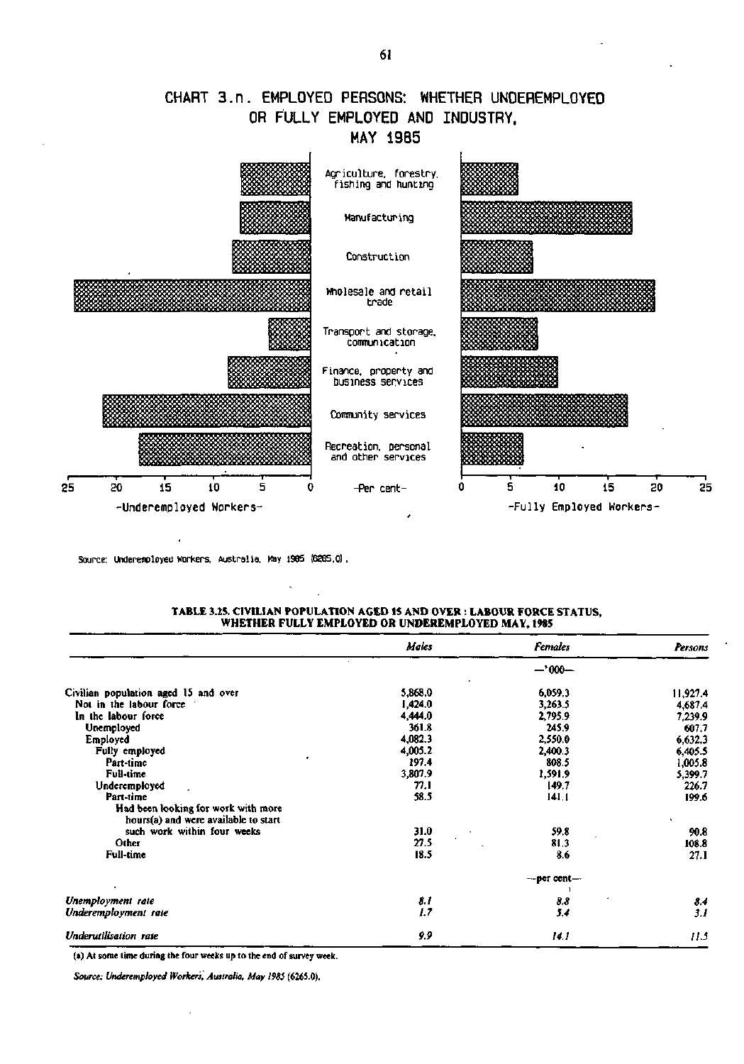## CHART 3.n. EMPLOYED PERSONS: WHETHER UNDEREMPLOYED OR FULLY EMPLOYED AND INDUSTRY, MAY 1985

![](_page_24_Figure_1.jpeg)

Source: Underemployed Workers. Australia, May 1985 (6265.0) .

### **TABLE 3.25. CIVILIAN POPULATION AGED 15 AND OVER : LABOUR FORCE STATUS, WHETHER FULLY EMPLOYED OR UNDEREMPLOYED MAY, 1985**

|                                      | Males   | <b>Females</b>   | Persons  |
|--------------------------------------|---------|------------------|----------|
|                                      |         | $-1000-$         |          |
| Civilian population aged 15 and over | 5,868.0 | 6,059.3          | 11,927.4 |
| Not in the labour force              | 1,424.0 | 3,263.5          | 4,687.4  |
| In the labour force                  | 4,444.0 | 2,795.9          | 7,239.9  |
| Unemployed                           | 361.8   | 245.9            | 607.7    |
| Employed                             | 4,082.3 | 2,550.0          | 6,632.3  |
| Fully employed                       | 4,005.2 | 2,400.3          | 6,405.5  |
| Part-time                            | 197.4   | 808.5            | 1,005.8  |
| Full-time                            | 3,807.9 | 1,591.9          | 5,399.7  |
| Underemployed                        | 77.1    | 149.7            | 226.7    |
| Part-time                            | 58.5    | 141.1            | 199.6    |
| Had been looking for work with more  |         |                  |          |
| hours(a) and were available to start |         |                  |          |
| such work within four weeks          | 31.0    | 59.8             | 90.8     |
| Other                                | 27.5    | 81.3             | 108.8    |
| <b>Full-time</b>                     | 18.5    | 8.6              | 27.1     |
|                                      |         | $-$ per cent $-$ |          |
| Unemployment rate                    | 8.1     | 8.8              | 8.4      |
| Underemployment rate                 | 1.7     | 5.4              | 3.1      |
| Underutilisation rate                | 9,9     | 14.1             | 11.5     |

(a) At some time during the four weeks up to the end of survey week.

*Source: Underemployed Workers. Australia, May 1985* **(6265.0).**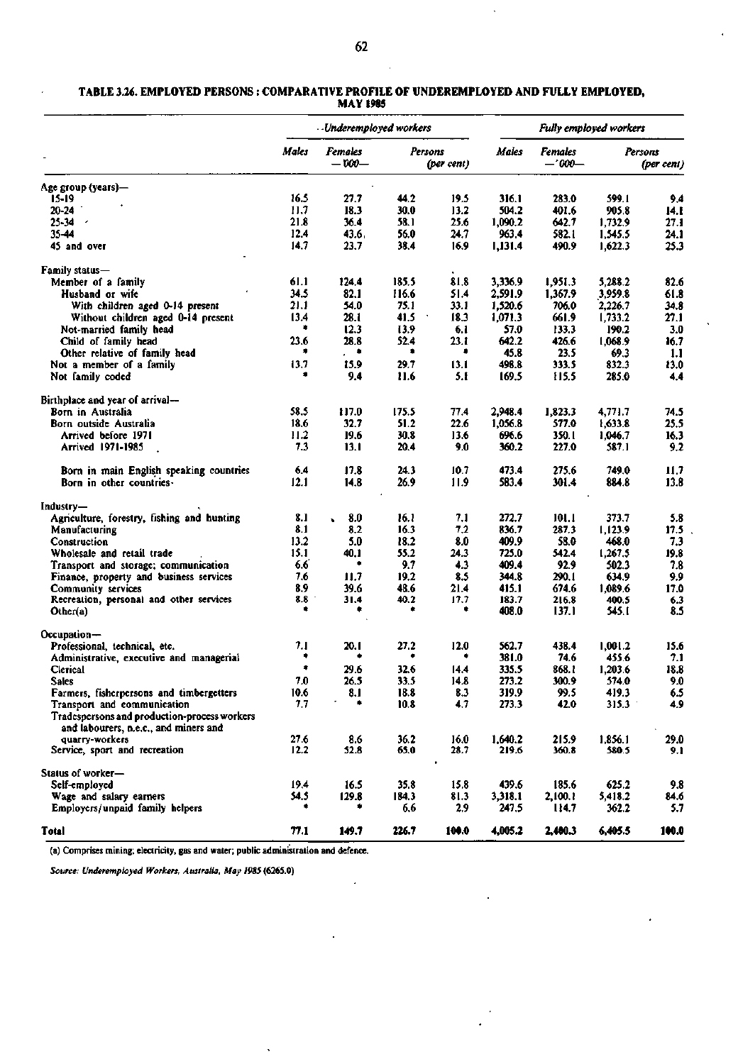#### **TABLE 3.26. EMPLOYED PERSONS : COMPARATIVE PROFILE OF UNDEREMPLOYED AND FULLY EMPLOYED, MAY 1985**

|                                                                                       | Underemployed workers |                    |         | <b>Fully employed workers</b> |              |                     |         |            |
|---------------------------------------------------------------------------------------|-----------------------|--------------------|---------|-------------------------------|--------------|---------------------|---------|------------|
|                                                                                       | Males                 | Females<br>$-000-$ | Persons | (per cent)                    | <b>Males</b> | Females<br>$-1000-$ | Persons | (per cent) |
| Age group (years)-                                                                    |                       |                    |         |                               |              |                     |         |            |
| 15-19                                                                                 | 16.5                  | 27.7               | 44.2    | 19.5                          | 316.1        | 283.0               | 599.1   | 9.4        |
| 20-24                                                                                 | 11.7                  | 18.3               | 30.0    | 13.2                          | 504.2        | 401.6               | 905.8   | 14.1       |
| $25 - 34$<br>$\overline{\phantom{a}}$                                                 | 21.8                  | 36.4               | 58.1    | 25.6                          | 1,090.2      | 642.7               | 1,732.9 | 27.1       |
| 35-44                                                                                 | 12.4                  | 43.6               | 56.0    | 24.7                          | 963.4        | 582.1               | 1,545.5 | 24.1       |
| 45 and over                                                                           | 14.7                  | 23.7               | 38.4    | 16.9                          | 1,131.4      | 490.9               | 1,622.3 | 25.3       |
| Family status-                                                                        |                       |                    |         |                               |              |                     |         |            |
| Member of a family                                                                    | 61.1                  | 124.4              | 185.5   | 81.8                          | 3,336.9      | 1,951.3             | 5,288.2 | 82.6       |
| Husband or wife                                                                       | 34.5                  | 82.1               | 116.6   | 51.4                          | 2,591.9      | 1,367.9             | 3,959.8 | 61.8       |
| With children aged 0-14 present                                                       | 21.1                  | 54.0               | 75.1    | 33.1                          | 1,520.6      | 706.0               | 2,226.7 | 34.8       |
| Without children aged 0-14 present                                                    | 13.4                  | 28.1               | 41,5    | 18.3                          | 1,071.3      | 661.9               | 1,733.2 | 27.1       |
| Not-married family head                                                               | ۰                     | 12.3               | 13.9    | 6.1                           | 57.0         | 133.3               | 190.2   | 3.0        |
| Child of family head                                                                  | 23.6                  | 28.8               | 52.4    | 23. I                         | 642.2        | 426.6               | 1,068.9 | 16.7       |
| Other relative of family head                                                         |                       | $\cdot$ $\cdot$    | ٠       | ٠                             | 45.8         | 23.5                | 69.3    | 1.1        |
| Not a member of a family                                                              | 13.7                  | 15.9               | 29.7    | 13.1                          | 498.8        | 333.5               | 832.3   | 13.0       |
| Not family coded                                                                      |                       | 9.4                | 11.6    | 5.1                           | 169.5        | 115.5               | 285.0   | 4.4        |
| Birthplace and year of arrival--                                                      |                       |                    |         |                               |              |                     |         |            |
| Born in Australia                                                                     | 58.5                  | t 17.0             | 175.5   | 77.4                          | 2,948.4      | 1,823.3             | 4,771.7 | 74.5       |
| Born outside Australia                                                                | 18.6                  | 32.7               | 51.2    | 22.6                          | 1.056.8      | 577.0               | 1,633.8 | 25.5       |
| Arrived before 1971                                                                   | 11.2                  | 19.6               | 30.8    | 13.6                          | 696.6        | 350.1               | 1,046.7 | 16.3       |
| <b>Arrived 1971-1985</b>                                                              | 7.3                   | 13.1               | 20.4    | 9.0                           | 360.2        | 227.0               | 587.1   | 9.2        |
| Born in main English speaking countries                                               | 6.4                   | 17.8               | 24.3    | 10.7                          | 473.4        | 275.6               | 749.0   | 11.7       |
| Born in other countries.                                                              | 12.1                  | 14.8               | 26.9    | 11.9                          | 583.4        | 301.4               | 884.8   | 13.8       |
| Industry—                                                                             |                       |                    |         |                               |              |                     |         |            |
| Agriculture, forestry, fishing and hunting                                            | 8.1                   | 8.0<br>$\bullet$   | 16.1    | 7.1                           | 272.7        | 101.1               | 373.7   | 5.8        |
| Manufacturing                                                                         | 8.1                   | 8.2                | 16.3    | 7.2                           | 836.7        | 287.3               | 1,123.9 | 17.5       |
| Construction                                                                          | 13.2                  | 5.0                | 18.2    | 8.0                           | 409.9        | 58.0                | 468.0   | 7.3        |
| Wholesale and retail trade                                                            | 15.1                  | 40.1               | 55.2    | 24.3                          | 725.0        | 542.4               | 1,267.5 | 19.8       |
| Transport and storage; communication                                                  | 6.6                   | ٠                  | 9.7     | 4.3                           | 409.4        | 92.9                | 502.3   | 7.8        |
| Finance, property and business services                                               | 7.6                   | 11.7               | 19.2    | 8.5                           | 344.8        | 290.1               | 634.9   | 9.9        |
| Community services                                                                    | 8.9                   | 39.6               | 48.6    | 21.4                          | 415.1        | 674.6               | 1,089.6 | 17.0       |
| Recreation, personal and other services                                               | 8.8                   | 31.4               | 40.2    | 17.7                          | 183.7        | 216.8               | 400.5   | 6.3        |
| Other(a)                                                                              |                       |                    |         | ۰                             | 408.0        | 137.1               | 545. I  | 8.5        |
| Occupation-                                                                           |                       |                    |         |                               |              |                     |         |            |
| Professional, technical, etc.                                                         | 7.1                   | 20. I              | 27.2    | 12.0                          | 562.7        | 438.4               | 1,001.2 | 15.6       |
| Administrative, executive and managerial                                              |                       | ٠                  |         |                               | 381.0        | 74.6                | 455.6   | 7.1        |
| Clerical                                                                              | ۰                     | 29.6               | 32.6    | 14.4                          | 335.5        | 868.1               | 1,203.6 | 18.8       |
| Sales                                                                                 | 7.0                   | 26.5               | 33.5    | 14.8                          | 273.2        | 300.9               | 574.0   | 9.0        |
| Farmers, fisherpersons and timbergetters                                              | 10.6                  | 8.1                | 18.8    | 8.3                           | 319.9        | 99.5                | 419.3   | 6.5        |
| Transport and communication                                                           | 7.7                   | ۰                  | 10.8    | 4.7                           | 273.3        | 42.0                | 315.3   | 4.9        |
| Tradespersons and production-process workers<br>and labourers, n.e.c., and miners and |                       |                    |         |                               |              |                     |         |            |
| quarry-workers                                                                        | 27.6                  | 8.6                | 36.2    | 16.0                          | 1,640.2      | 215.9               | 1,856.1 | 29.0       |
| Service, sport and recreation                                                         | 12.2                  | 52.8               | 65.0    | 28.7                          | 219.6        | 360.8               | 580.5   | 9.1        |
| Status of worker-                                                                     |                       |                    |         | ٠                             |              |                     |         |            |
| Self-employed                                                                         | 19,4                  | 16.5               | 35.8    | 15.8                          | 439.6        | 185.6               | 625.2   | 9.8        |
| Wage and salary earners                                                               | 54.5                  | 129.8              | 184.3   | 81.3                          | 3,318.1      | 2,100.1             | 5,418.2 | 84.6       |
| Employers/unpaid family helpers                                                       |                       |                    | 6.6     | 2,9                           | 247.5        | 114.7               | 362.2   | 5.7        |
| <b>Total</b>                                                                          | 77.1                  | 149.7              | 226.7   | 100.0                         | 4,005.2      | 2,400.3             | 6,405.5 | 100.0      |

 $\overline{a}$ 

(a) Comprises mining; electricity, gas and water; public administration and defence.

 $\ddot{\phantom{a}}$ 

*Source: Underemployed Workers, Australia, May 19S5* **(6263.0)**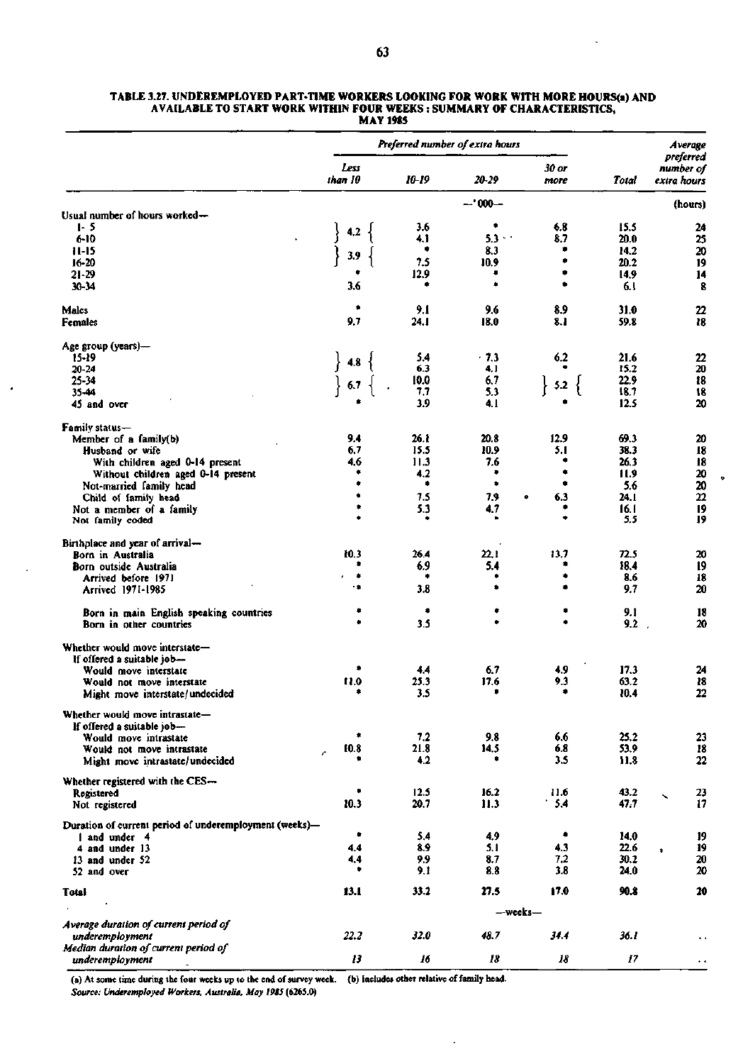|                                                                         | Preferred number of extra hours |             |            |                       |              | Average                               |
|-------------------------------------------------------------------------|---------------------------------|-------------|------------|-----------------------|--------------|---------------------------------------|
|                                                                         | Less<br>than 10                 | 10-19       | 20-29      | 30 or<br>more         | Total        | preferred<br>number of<br>extra hours |
|                                                                         |                                 |             | $-1000 -$  |                       |              | (hours)                               |
| Usual number of hours worked-                                           |                                 |             |            |                       |              |                                       |
| $1 - 5$                                                                 | 4.2                             | 3.6         | ٠          | 6.8                   | 15.5         | 24                                    |
| 6-10                                                                    |                                 | 4.1         | $5.3 + 1$  | 8.7                   | 20.0         | 25                                    |
| $11-15$                                                                 | 3.9                             | ٠           | 8.3        | ۰<br>۰                | 14.2         | 20                                    |
| $16 - 20$                                                               |                                 | 7.5<br>12.9 | 10.9       |                       | 20.2<br>14.9 | 19                                    |
| $21 - 29$<br>30-34                                                      | 3.6                             |             |            |                       | 6.1          | 14<br>8                               |
| Males                                                                   |                                 | 9.1         | 9.6        | 8.9                   | 31.0         | 22                                    |
| Females                                                                 | 9.7                             | 24.1        | 18.0       | 8.1                   | 59.8         | 18                                    |
| Age group (years)—                                                      |                                 |             |            |                       |              |                                       |
| 15-19                                                                   | 4.8                             | 5.4         | $-7.3$     | 6.2                   | 21.6         | 22                                    |
| 20-24                                                                   |                                 | 6.3         | 4.1        |                       | 15.2         | 20                                    |
| 25-34                                                                   | 6.7                             | 10.0<br>7.7 | 6.7        | $5.2 \left\{ \right.$ | 22.9<br>18.7 | 18                                    |
| 35-44<br>45 and over                                                    |                                 | 3.9         | 5.3<br>4.1 |                       | 12.5         | 18<br>20                              |
| <b>Family status-</b>                                                   |                                 |             |            |                       |              |                                       |
| Member of a family(b)                                                   | 9.4                             | 26. t       | 20.8       | 12.9                  | 69.3         | 20                                    |
| Husband or wife                                                         | 6.7                             | 15.5        | 10.9       | 5.1                   | 38.3         | 18                                    |
| With children aged 0-14 present                                         | 4.6                             | 11.3        | 7.6        |                       | 26.3         | 18                                    |
| Without children aged 0-14 present                                      |                                 | 4.2         | ۰          |                       | 11.9         | 20                                    |
| Not-married family head                                                 |                                 | ٠           | ۰          | ٠                     | 5.6          | 20                                    |
| Child of family head                                                    |                                 | 7.5         | 7.9        | 6.3<br>۰              | 24.I         | 22                                    |
| Not a member of a family<br>Not family coded                            |                                 | 5.3         | 4.7        | ٠                     | 16.1<br>5.5  | 19<br>19                              |
| Birthplace and year of arrival--                                        |                                 |             |            |                       |              |                                       |
| Born in Australia                                                       | 10.3                            | 26.4        | 22.1       | 13.7                  | 72.5         | 20                                    |
| Born outside Australia                                                  |                                 | 6.9         | 5.4        |                       | 18.4         | $\overline{19}$                       |
| Arrived before 1971<br>Arrived 1971-1985                                | ۰<br>٠                          | ٠<br>3.8    |            |                       | 8.6<br>9.7   | 18<br>20                              |
|                                                                         |                                 |             |            |                       |              |                                       |
| Born in main English speaking countries<br>Born in other countries      |                                 | ۰<br>3.5    |            |                       | 9.1<br>9,2   | 18<br>20                              |
| Whether would move interstate-                                          |                                 |             |            |                       |              |                                       |
| If offered a suitable job-                                              |                                 |             |            |                       |              |                                       |
| Would move interstate                                                   |                                 | 4.4         | 6.7        | 4,9                   | 17.3         | 24                                    |
| Would not move interstate                                               | 11.0                            | 25.3        | 17.6       | 9,3                   | 63.2         | 18                                    |
| Might move interstate/undecided                                         |                                 | 3.5         | ۰          |                       | 10.4         | 22                                    |
| Whether would move intrastate-<br>If offered a suitable job-            |                                 |             |            |                       |              |                                       |
| Would move intrastate                                                   | ۰                               | 7.2         | 9.8        | 6.6                   | 25.2         | 23                                    |
| Would not move intrastate                                               | 10.8                            | 21.8        | 14.5       | 6.8                   | 53.9         | 18                                    |
| Might move intrastate/undecided                                         |                                 | 4.2         | ۰          | 3.5                   | 11.8         | 22                                    |
| Whether registered with the CES-                                        |                                 |             |            |                       |              |                                       |
| Registered                                                              |                                 | 12.5        | 16.2       | 11.6                  | 43.2         | 23<br>╲                               |
| Not registered                                                          | 10.3                            | 20.7        | 11.3       | 5,4                   | 47.7         | 17                                    |
| Duration of current period of underemployment (weeks)-<br>I and under 4 | ٠                               | 5.4         | 4,9        | ۰                     | 14.0         | 19                                    |
| 4 and under 13                                                          | 4.4                             | 8.9         | 5.1        | 4.3                   | 22.6         | 19<br>¢                               |
| 13 and under 52                                                         | 4,4                             | 9.9         | 8.7        | 7.2                   | 30.2         | 20                                    |
| 52 and over                                                             | ٠                               | 9.1         | 8.8        | 3.8                   | 24.0         | $\boldsymbol{\mathsf{20}}$            |
| Total                                                                   | 13.1                            | 33.2        | 27.5       | 17.0                  | 90.8         | 20                                    |
|                                                                         | —weeks—                         |             |            |                       |              |                                       |
| Average duration of current period of                                   | 22.2                            | 32.0        | 48.7       | 34.4                  | 36.1         |                                       |
| underemployment<br>Median duration of current period of                 |                                 |             |            |                       |              | $\ddot{\phantom{1}}$                  |
|                                                                         |                                 |             |            |                       |              |                                       |

#### **TABLE 3.27. UNDEREMPLOYED PART-TIME WORKERS LOOKING FOR WORK WITH MORE HOURS(a) AND AVAILABLE TO START WORK WITHIN FOUR WEEKS : SUMMARY OF CHARACTERISTICS, MAY 1985**

(a) At some time during the four weeks up to the end of survey week. (b) Includes other relative of family head. *Source: Underemployed Workers, Australia, May 1985* **(6265.0)** 

*13* 

*16* 

*18 18* 

*17* 

44

*underemployment*